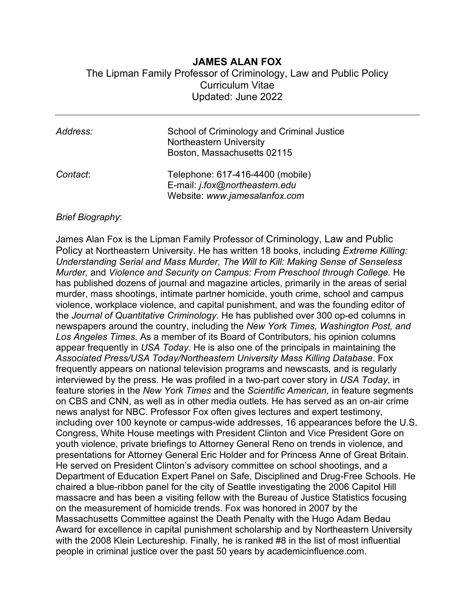## **JAMES ALAN FOX**

The Lipman Family Professor of Criminology, Law and Public Policy Curriculum Vitae Updated: June 2022

| Address: | School of Criminology and Criminal Justice<br><b>Northeastern University</b><br>Boston, Massachusetts 02115 |
|----------|-------------------------------------------------------------------------------------------------------------|
| Contact: | Telephone: 617-416-4400 (mobile)<br>E-mail: j.fox@northeastern.edu<br>Website: www.jamesalanfox.com         |

### *Brief Biography*:

James Alan Fox is the Lipman Family Professor of Criminology, Law and Public Policy at Northeastern University. He has written 18 books, including *Extreme Killing: Understanding Serial and Mass Murder, The Will to Kill: Making Sense of Senseless Murder,* and *Violence and Security on Campus: From Preschool through College.* He has published dozens of journal and magazine articles, primarily in the areas of serial murder, mass shootings, intimate partner homicide, youth crime, school and campus violence, workplace violence, and capital punishment, and was the founding editor of the *Journal of Quantitative Criminology*. He has published over 300 op-ed columns in newspapers around the country, including the *New York Times, Washington Post, and Los Angeles Times.* As a member of its Board of Contributors*,* his opinion columns appear frequently in *USA Today*. He is also one of the principals in maintaining the *Associated Press/USA Today/Northeastern University Mass Killing Database*. Fox frequently appears on national television programs and newscasts*,* and is regularly interviewed by the press. He was profiled in a two-part cover story in *USA Today*, in feature stories in the *New York Times* and the *Scientific American,* in feature segments on CBS and CNN, as well as in other media outlets. He has served as an on-air crime news analyst for NBC. Professor Fox often gives lectures and expert testimony, including over 100 keynote or campus-wide addresses, 16 appearances before the U.S. Congress, White House meetings with President Clinton and Vice President Gore on youth violence, private briefings to Attorney General Reno on trends in violence, and presentations for Attorney General Eric Holder and for Princess Anne of Great Britain. He served on President Clinton's advisory committee on school shootings, and a Department of Education Expert Panel on Safe, Disciplined and Drug-Free Schools. He chaired a blue-ribbon panel for the city of Seattle investigating the 2006 Capitol Hill massacre and has been a visiting fellow with the Bureau of Justice Statistics focusing on the measurement of homicide trends. Fox was honored in 2007 by the Massachusetts Committee against the Death Penalty with the Hugo Adam Bedau Award for excellence in capital punishment scholarship and by Northeastern University with the 2008 Klein Lectureship. Finally, he is ranked #8 in the list of most influential people in criminal justice over the past 50 years by academicinfluence.com.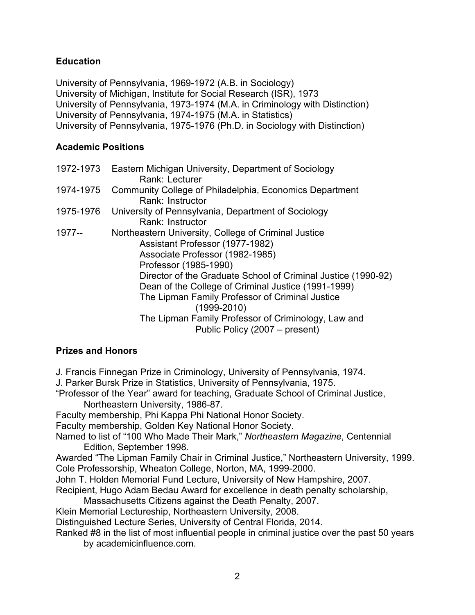## **Education**

University of Pennsylvania, 1969-1972 (A.B. in Sociology) University of Michigan, Institute for Social Research (ISR), 1973 University of Pennsylvania, 1973-1974 (M.A. in Criminology with Distinction) University of Pennsylvania, 1974-1975 (M.A. in Statistics) University of Pennsylvania, 1975-1976 (Ph.D. in Sociology with Distinction)

## **Academic Positions**

|           | 1972-1973 Eastern Michigan University, Department of Sociology<br>Rank: Lecturer                                                                                                                                     |
|-----------|----------------------------------------------------------------------------------------------------------------------------------------------------------------------------------------------------------------------|
| 1974-1975 | Community College of Philadelphia, Economics Department<br>Rank: Instructor                                                                                                                                          |
| 1975-1976 | University of Pennsylvania, Department of Sociology<br>Rank: Instructor                                                                                                                                              |
| 1977--    | Northeastern University, College of Criminal Justice<br>Assistant Professor (1977-1982)<br>Associate Professor (1982-1985)<br>Professor (1985-1990)<br>Director of the Graduate School of Criminal Justice (1990-92) |
|           | Dean of the College of Criminal Justice (1991-1999)<br>The Lipman Family Professor of Criminal Justice<br>$(1999 - 2010)$<br>The Lipman Family Professor of Criminology, Law and                                     |
|           | Public Policy (2007 – present)                                                                                                                                                                                       |

## **Prizes and Honors**

J. Francis Finnegan Prize in Criminology, University of Pennsylvania, 1974.

J. Parker Bursk Prize in Statistics, University of Pennsylvania, 1975.

"Professor of the Year" award for teaching, Graduate School of Criminal Justice, Northeastern University, 1986-87.

Faculty membership, Phi Kappa Phi National Honor Society.

Faculty membership, Golden Key National Honor Society.

Named to list of "100 Who Made Their Mark," *Northeastern Magazine*, Centennial Edition, September 1998.

Awarded "The Lipman Family Chair in Criminal Justice," Northeastern University, 1999. Cole Professorship, Wheaton College, Norton, MA, 1999-2000.

John T. Holden Memorial Fund Lecture, University of New Hampshire, 2007.

Recipient, Hugo Adam Bedau Award for excellence in death penalty scholarship,

Massachusetts Citizens against the Death Penalty, 2007.

Klein Memorial Lectureship, Northeastern University, 2008.

Distinguished Lecture Series, University of Central Florida, 2014.

Ranked #8 in the list of most influential people in criminal justice over the past 50 years by academicinfluence.com.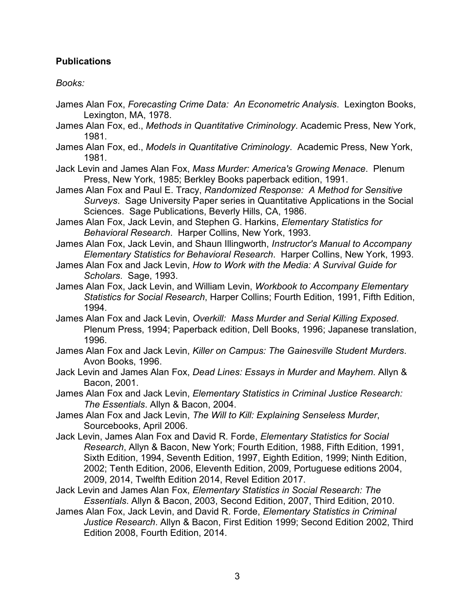## **Publications**

## *Books:*

- James Alan Fox, *Forecasting Crime Data: An Econometric Analysis*. Lexington Books, Lexington, MA, 1978.
- James Alan Fox, ed., *Methods in Quantitative Criminology*. Academic Press, New York, 1981.
- James Alan Fox, ed., *Models in Quantitative Criminology*. Academic Press, New York, 1981.

Jack Levin and James Alan Fox, *Mass Murder: America's Growing Menace*. Plenum Press, New York, 1985; Berkley Books paperback edition, 1991.

- James Alan Fox and Paul E. Tracy, *Randomized Response: A Method for Sensitive Surveys*. Sage University Paper series in Quantitative Applications in the Social Sciences. Sage Publications, Beverly Hills, CA, 1986.
- James Alan Fox, Jack Levin, and Stephen G. Harkins, *Elementary Statistics for Behavioral Research*. Harper Collins, New York, 1993.

James Alan Fox, Jack Levin, and Shaun Illingworth, *Instructor's Manual to Accompany Elementary Statistics for Behavioral Research*. Harper Collins, New York, 1993.

- James Alan Fox and Jack Levin, *How to Work with the Media: A Survival Guide for Scholars*. Sage, 1993.
- James Alan Fox, Jack Levin, and William Levin, *Workbook to Accompany Elementary Statistics for Social Research*, Harper Collins; Fourth Edition, 1991, Fifth Edition, 1994.

James Alan Fox and Jack Levin, *Overkill: Mass Murder and Serial Killing Exposed*. Plenum Press, 1994; Paperback edition, Dell Books, 1996; Japanese translation, 1996.

- James Alan Fox and Jack Levin, *Killer on Campus: The Gainesville Student Murders*. Avon Books, 1996.
- Jack Levin and James Alan Fox, *Dead Lines: Essays in Murder and Mayhem*. Allyn & Bacon, 2001.
- James Alan Fox and Jack Levin, *Elementary Statistics in Criminal Justice Research: The Essentials*. Allyn & Bacon, 2004.
- James Alan Fox and Jack Levin, *The Will to Kill: Explaining Senseless Murder*, Sourcebooks, April 2006.
- Jack Levin, James Alan Fox and David R. Forde, *Elementary Statistics for Social Research*, Allyn & Bacon, New York; Fourth Edition, 1988, Fifth Edition, 1991, Sixth Edition, 1994, Seventh Edition, 1997, Eighth Edition, 1999; Ninth Edition, 2002; Tenth Edition, 2006, Eleventh Edition, 2009, Portuguese editions 2004, 2009, 2014, Twelfth Edition 2014, Revel Edition 2017.
- Jack Levin and James Alan Fox, *Elementary Statistics in Social Research: The Essentials*. Allyn & Bacon, 2003, Second Edition, 2007, Third Edition, 2010.
- James Alan Fox, Jack Levin, and David R. Forde, *Elementary Statistics in Criminal Justice Research*. Allyn & Bacon, First Edition 1999; Second Edition 2002, Third Edition 2008, Fourth Edition, 2014.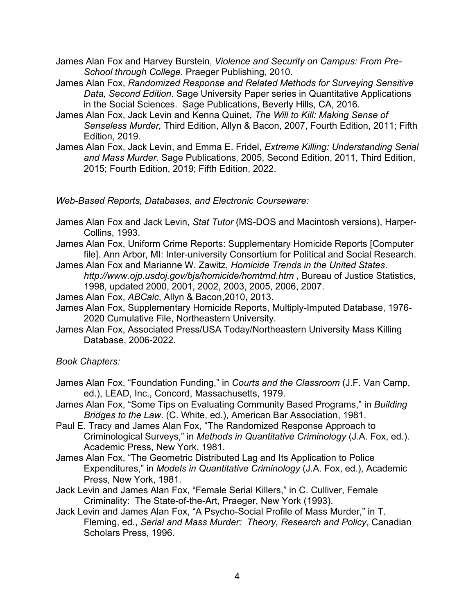James Alan Fox and Harvey Burstein, *Violence and Security on Campus: From Pre-School through College.* Praeger Publishing, 2010.

- James Alan Fox, *Randomized Response and Related Methods for Surveying Sensitive Data, Second Edition*. Sage University Paper series in Quantitative Applications in the Social Sciences. Sage Publications, Beverly Hills, CA, 2016.
- James Alan Fox, Jack Levin and Kenna Quinet, *The Will to Kill: Making Sense of Senseless Murder,* Third Edition, Allyn & Bacon, 2007, Fourth Edition, 2011; Fifth Edition, 2019.
- James Alan Fox, Jack Levin, and Emma E. Fridel, *Extreme Killing: Understanding Serial and Mass Murder*. Sage Publications, 2005, Second Edition, 2011, Third Edition, 2015; Fourth Edition, 2019; Fifth Edition, 2022.

*Web-Based Reports, Databases, and Electronic Courseware:*

- James Alan Fox and Jack Levin, *Stat Tutor* (MS-DOS and Macintosh versions), Harper-Collins, 1993.
- James Alan Fox, Uniform Crime Reports: Supplementary Homicide Reports [Computer file]. Ann Arbor, MI: Inter-university Consortium for Political and Social Research.
- James Alan Fox and Marianne W. Zawitz, *Homicide Trends in the United States*. *http://www.ojp.usdoj.gov/bjs/homicide/homtrnd.htm* , Bureau of Justice Statistics, 1998, updated 2000, 2001, 2002, 2003, 2005, 2006, 2007.
- James Alan Fox, *ABCalc*, Allyn & Bacon,2010, 2013.
- James Alan Fox, Supplementary Homicide Reports, Multiply-Imputed Database, 1976- 2020 Cumulative File, Northeastern University.
- James Alan Fox, Associated Press/USA Today/Northeastern University Mass Killing Database, 2006-2022.

*Book Chapters:*

- James Alan Fox, "Foundation Funding," in *Courts and the Classroom* (J.F. Van Camp, ed.), LEAD, Inc., Concord, Massachusetts, 1979.
- James Alan Fox, "Some Tips on Evaluating Community Based Programs," in *Building Bridges to the Law*. (C. White, ed.), American Bar Association, 1981.
- Paul E. Tracy and James Alan Fox, "The Randomized Response Approach to Criminological Surveys," in *Methods in Quantitative Criminology* (J.A. Fox, ed.). Academic Press, New York, 1981.
- James Alan Fox, "The Geometric Distributed Lag and Its Application to Police Expenditures," in *Models in Quantitative Criminology* (J.A. Fox, ed.), Academic Press, New York, 1981.
- Jack Levin and James Alan Fox, "Female Serial Killers," in C. Culliver, Female Criminality: The State-of-the-Art, Praeger, New York (1993).
- Jack Levin and James Alan Fox, "A Psycho-Social Profile of Mass Murder," in T. Fleming, ed., *Serial and Mass Murder: Theory, Research and Policy*, Canadian Scholars Press, 1996.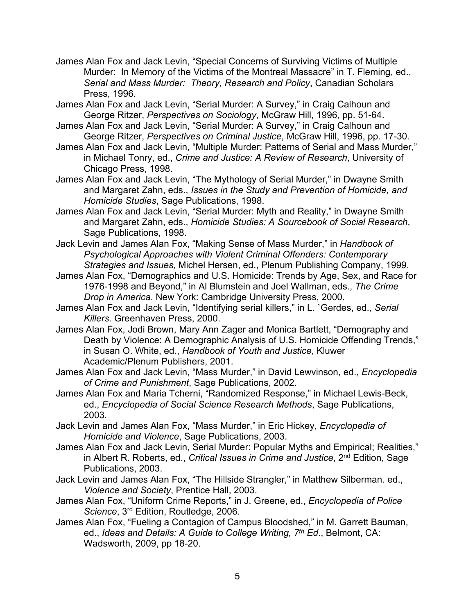- James Alan Fox and Jack Levin, "Special Concerns of Surviving Victims of Multiple Murder: In Memory of the Victims of the Montreal Massacre" in T. Fleming, ed., *Serial and Mass Murder: Theory, Research and Policy*, Canadian Scholars Press, 1996.
- James Alan Fox and Jack Levin, "Serial Murder: A Survey," in Craig Calhoun and George Ritzer, *Perspectives on Sociology*, McGraw Hill, 1996, pp. 51-64.
- James Alan Fox and Jack Levin, "Serial Murder: A Survey," in Craig Calhoun and George Ritzer, *Perspectives on Criminal Justice*, McGraw Hill, 1996, pp. 17-30.
- James Alan Fox and Jack Levin, "Multiple Murder: Patterns of Serial and Mass Murder," in Michael Tonry, ed., *Crime and Justice: A Review of Research*, University of Chicago Press, 1998.
- James Alan Fox and Jack Levin, "The Mythology of Serial Murder," in Dwayne Smith and Margaret Zahn, eds., *Issues in the Study and Prevention of Homicide, and Homicide Studies*, Sage Publications, 1998.
- James Alan Fox and Jack Levin, "Serial Murder: Myth and Reality," in Dwayne Smith and Margaret Zahn, eds., *Homicide Studies: A Sourcebook of Social Research*, Sage Publications, 1998.
- Jack Levin and James Alan Fox, "Making Sense of Mass Murder," in *Handbook of Psychological Approaches with Violent Criminal Offenders: Contemporary Strategies and Issues,* Michel Hersen, ed., Plenum Publishing Company, 1999.
- James Alan Fox, "Demographics and U.S. Homicide: Trends by Age, Sex, and Race for 1976-1998 and Beyond," in Al Blumstein and Joel Wallman, eds., *The Crime Drop in America*. New York: Cambridge University Press, 2000.
- James Alan Fox and Jack Levin, "Identifying serial killers," in L. `Gerdes, ed., *Serial Killers*. Greenhaven Press, 2000.
- James Alan Fox, Jodi Brown, Mary Ann Zager and Monica Bartlett, "Demography and Death by Violence: A Demographic Analysis of U.S. Homicide Offending Trends," in Susan O. White, ed., *Handbook of Youth and Justice*, Kluwer Academic/Plenum Publishers, 2001.
- James Alan Fox and Jack Levin, "Mass Murder," in David Lewvinson, ed., *Encyclopedia of Crime and Punishment*, Sage Publications, 2002.
- James Alan Fox and Maria Tcherni, "Randomized Response," in Michael Lewis-Beck, ed., *Encyclopedia of Social Science Research Methods*, Sage Publications, 2003.
- Jack Levin and James Alan Fox, "Mass Murder," in Eric Hickey, *Encyclopedia of Homicide and Violence*, Sage Publications, 2003.
- James Alan Fox and Jack Levin, Serial Murder: Popular Myths and Empirical; Realities," in Albert R. Roberts, ed., *Critical Issues in Crime and Justice*, 2nd Edition, Sage Publications, 2003.
- Jack Levin and James Alan Fox, "The Hillside Strangler," in Matthew Silberman. ed., *Violence and Society*, Prentice Hall, 2003.
- James Alan Fox, "Uniform Crime Reports," in J. Greene, ed., *Encyclopedia of Police Science*, 3rd Edition, Routledge, 2006.
- James Alan Fox, "Fueling a Contagion of Campus Bloodshed," in M. Garrett Bauman, ed., *Ideas and Details: A Guide to College Writing, 7th Ed*., Belmont, CA: Wadsworth, 2009, pp 18-20.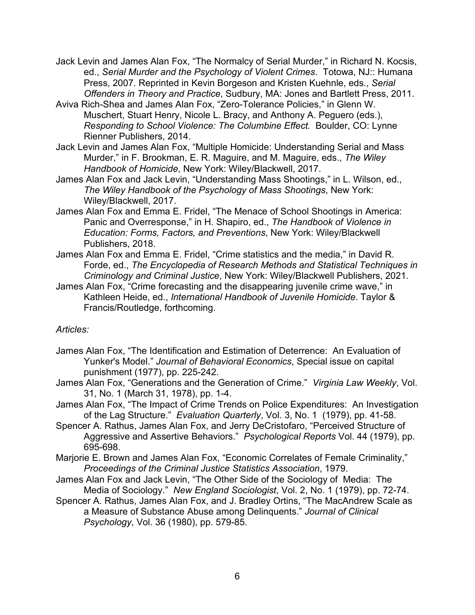- Jack Levin and James Alan Fox, "The Normalcy of Serial Murder," in Richard N. Kocsis, ed., *Serial Murder and the Psychology of Violent Crimes*. Totowa, NJ:: Humana Press, 2007. Reprinted in Kevin Borgeson and Kristen Kuehnle, eds., *Serial Offenders in Theory and Practice*, Sudbury, MA: Jones and Bartlett Press, 2011.
- Aviva Rich-Shea and James Alan Fox, "Zero-Tolerance Policies," in Glenn W. Muschert, Stuart Henry, Nicole L. Bracy, and Anthony A. Peguero (eds.), *Responding to School Violence: The Columbine Effect.* Boulder, CO: Lynne Rienner Publishers, 2014.
- Jack Levin and James Alan Fox, "Multiple Homicide: Understanding Serial and Mass Murder," in F. Brookman, E. R. Maguire, and M. Maguire, eds., *The Wiley Handbook of Homicide*, New York: Wiley/Blackwell, 2017.
- James Alan Fox and Jack Levin, "Understanding Mass Shootings," in L. Wilson, ed., *The Wiley Handbook of the Psychology of Mass Shootings*, New York: Wiley/Blackwell, 2017.
- James Alan Fox and Emma E. Fridel, "The Menace of School Shootings in America: Panic and Overresponse," in H. Shapiro, ed., *The Handbook of Violence in Education: Forms, Factors, and Preventions*, New York: Wiley/Blackwell Publishers, 2018.
- James Alan Fox and Emma E. Fridel, "Crime statistics and the media," in David R. Forde, ed., *The Encyclopedia of Research Methods and Statistical Techniques in Criminology and Criminal Justice*, New York: Wiley/Blackwell Publishers, 2021.
- James Alan Fox, "Crime forecasting and the disappearing juvenile crime wave," in Kathleen Heide, ed., *International Handbook of Juvenile Homicide*. Taylor & Francis/Routledge, forthcoming.

## *Articles:*

- James Alan Fox, "The Identification and Estimation of Deterrence: An Evaluation of Yunker's Model." *Journal of Behavioral Economics*, Special issue on capital punishment (1977), pp. 225-242.
- James Alan Fox, "Generations and the Generation of Crime." *Virginia Law Weekly*, Vol. 31, No. 1 (March 31, 1978), pp. 1-4.
- James Alan Fox, "The Impact of Crime Trends on Police Expenditures: An Investigation of the Lag Structure." *Evaluation Quarterly*, Vol. 3, No. 1 (1979), pp. 41-58.
- Spencer A. Rathus, James Alan Fox, and Jerry DeCristofaro, "Perceived Structure of Aggressive and Assertive Behaviors." *Psychological Reports* Vol. 44 (1979), pp. 695-698.
- Marjorie E. Brown and James Alan Fox, "Economic Correlates of Female Criminality," *Proceedings of the Criminal Justice Statistics Association*, 1979.
- James Alan Fox and Jack Levin, "The Other Side of the Sociology of Media: The Media of Sociology." *New England Sociologist*, Vol. 2, No. 1 (1979), pp. 72-74.
- Spencer A. Rathus, James Alan Fox, and J. Bradley Ortins, "The MacAndrew Scale as a Measure of Substance Abuse among Delinquents." *Journal of Clinical Psychology*, Vol. 36 (1980), pp. 579-85.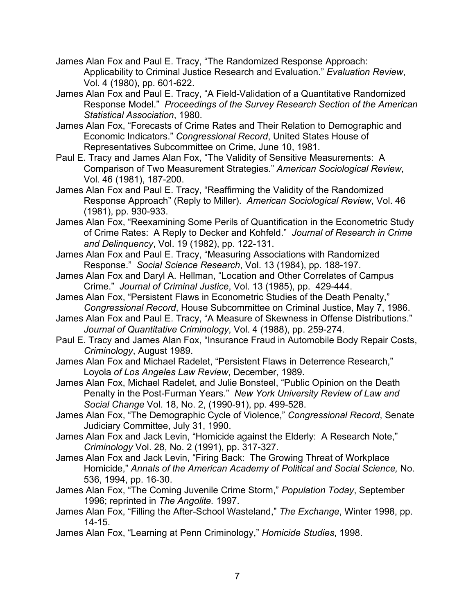- James Alan Fox and Paul E. Tracy, "The Randomized Response Approach: Applicability to Criminal Justice Research and Evaluation." *Evaluation Review*, Vol. 4 (1980), pp. 601-622.
- James Alan Fox and Paul E. Tracy, "A Field-Validation of a Quantitative Randomized Response Model." *Proceedings of the Survey Research Section of the American Statistical Association*, 1980.
- James Alan Fox, "Forecasts of Crime Rates and Their Relation to Demographic and Economic Indicators." *Congressional Record*, United States House of Representatives Subcommittee on Crime, June 10, 1981.
- Paul E. Tracy and James Alan Fox, "The Validity of Sensitive Measurements: A Comparison of Two Measurement Strategies." *American Sociological Review*, Vol. 46 (1981), 187-200.
- James Alan Fox and Paul E. Tracy, "Reaffirming the Validity of the Randomized Response Approach" (Reply to Miller). *American Sociological Review*, Vol. 46 (1981), pp. 930-933.
- James Alan Fox, "Reexamining Some Perils of Quantification in the Econometric Study of Crime Rates: A Reply to Decker and Kohfeld." *Journal of Research in Crime and Delinquency*, Vol. 19 (1982), pp. 122-131.
- James Alan Fox and Paul E. Tracy, "Measuring Associations with Randomized Response." *Social Science Research*, Vol. 13 (1984), pp. 188-197.
- James Alan Fox and Daryl A. Hellman, "Location and Other Correlates of Campus Crime." *Journal of Criminal Justice*, Vol. 13 (1985), pp. 429-444.
- James Alan Fox, "Persistent Flaws in Econometric Studies of the Death Penalty," *Congressional Record*, House Subcommittee on Criminal Justice, May 7, 1986.
- James Alan Fox and Paul E. Tracy, "A Measure of Skewness in Offense Distributions." *Journal of Quantitative Criminology*, Vol. 4 (1988), pp. 259-274.
- Paul E. Tracy and James Alan Fox, "Insurance Fraud in Automobile Body Repair Costs, *Criminology*, August 1989.
- James Alan Fox and Michael Radelet, "Persistent Flaws in Deterrence Research," Loyola *of Los Angeles Law Review*, December, 1989.
- James Alan Fox, Michael Radelet, and Julie Bonsteel, "Public Opinion on the Death Penalty in the Post-Furman Years." *New York University Review of Law and Social Change* Vol. 18, No. 2, (1990-91), pp. 499-528.
- James Alan Fox, "The Demographic Cycle of Violence," *Congressional Record*, Senate Judiciary Committee, July 31, 1990.
- James Alan Fox and Jack Levin, "Homicide against the Elderly: A Research Note," *Criminology* Vol. 28, No. 2 (1991), pp. 317-327.
- James Alan Fox and Jack Levin, "Firing Back: The Growing Threat of Workplace Homicide," *Annals of the American Academy of Political and Social Science,* No. 536, 1994, pp. 16-30.
- James Alan Fox, "The Coming Juvenile Crime Storm," *Population Today*, September 1996; reprinted in *The Angolite.* 1997.
- James Alan Fox, "Filling the After-School Wasteland," *The Exchange*, Winter 1998, pp. 14-15.
- James Alan Fox, "Learning at Penn Criminology," *Homicide Studies*, 1998.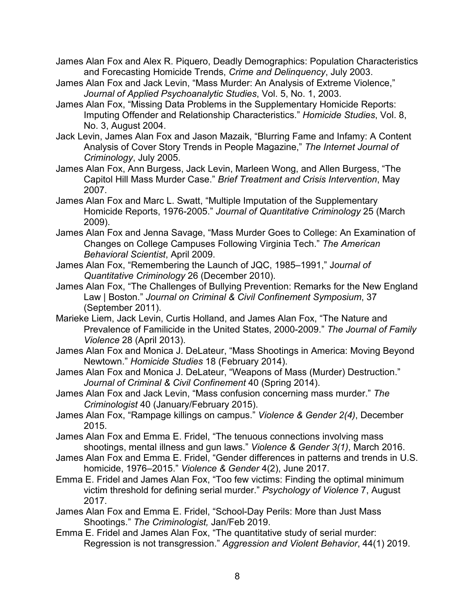James Alan Fox and Alex R. Piquero, Deadly Demographics: Population Characteristics and Forecasting Homicide Trends, *Crime and Delinquency*, July 2003.

- James Alan Fox and Jack Levin, "Mass Murder: An Analysis of Extreme Violence," *Journal of Applied Psychoanalytic Studies*, Vol. 5, No. 1, 2003.
- James Alan Fox, "Missing Data Problems in the Supplementary Homicide Reports: Imputing Offender and Relationship Characteristics." *Homicide Studies*, Vol. 8, No. 3, August 2004.
- Jack Levin, James Alan Fox and Jason Mazaik, "Blurring Fame and Infamy: A Content Analysis of Cover Story Trends in People Magazine," *The Internet Journal of Criminology*, July 2005.
- James Alan Fox, Ann Burgess, Jack Levin, Marleen Wong, and Allen Burgess, "The Capitol Hill Mass Murder Case." *Brief Treatment and Crisis Intervention*, May 2007.
- James Alan Fox and Marc L. Swatt, "Multiple Imputation of the Supplementary Homicide Reports, 1976-2005." *Journal of Quantitative Criminology* 25 (March 2009).
- James Alan Fox and Jenna Savage, "Mass Murder Goes to College: An Examination of Changes on College Campuses Following Virginia Tech." *The American Behavioral Scientist*, April 2009.
- James Alan Fox, "Remembering the Launch of JQC, 1985–1991," J*ournal of Quantitative Criminology* 26 (December 2010).
- James Alan Fox, "The Challenges of Bullying Prevention: Remarks for the New England Law | Boston." *Journal on Criminal & Civil Confinement Symposium*, 37 (September 2011).
- Marieke Liem, Jack Levin, Curtis Holland, and James Alan Fox, "The Nature and Prevalence of Familicide in the United States, 2000-2009." *The Journal of Family Violence* 28 (April 2013).
- James Alan Fox and Monica J. DeLateur, "Mass Shootings in America: Moving Beyond Newtown." *Homicide Studies* 18 (February 2014).
- James Alan Fox and Monica J. DeLateur, "Weapons of Mass (Murder) Destruction." *Journal of Criminal & Civil Confinement* 40 (Spring 2014).
- James Alan Fox and Jack Levin, "Mass confusion concerning mass murder." *The Criminologist* 40 (January/February 2015).
- James Alan Fox, "Rampage killings on campus." *Violence & Gender 2(4)*, December 2015.
- James Alan Fox and Emma E. Fridel, "The tenuous connections involving mass shootings, mental illness and gun laws." *Violence & Gender 3(1)*, March 2016.
- James Alan Fox and Emma E. Fridel, "Gender differences in patterns and trends in U.S. homicide, 1976–2015." *Violence & Gender* 4(2), June 2017.
- Emma E. Fridel and James Alan Fox, "Too few victims: Finding the optimal minimum victim threshold for defining serial murder." *Psychology of Violence* 7, August 2017.
- James Alan Fox and Emma E. Fridel, "School-Day Perils: More than Just Mass Shootings." *The Criminologist,* Jan/Feb 2019.
- Emma E. Fridel and James Alan Fox, "The quantitative study of serial murder: Regression is not transgression." *Aggression and Violent Behavior*, 44(1) 2019.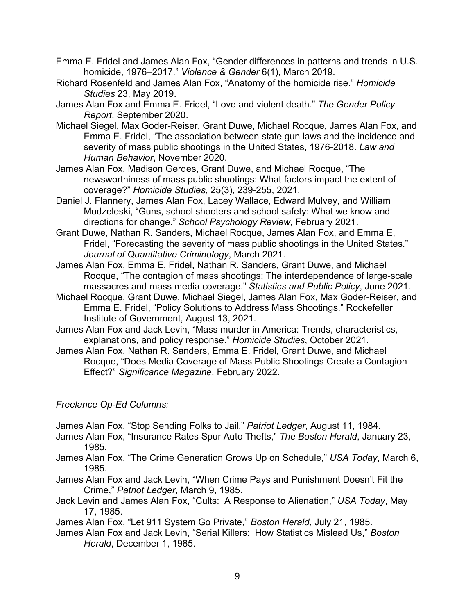- Emma E. Fridel and James Alan Fox, "Gender differences in patterns and trends in U.S. homicide, 1976–2017." *Violence & Gender* 6(1), March 2019.
- Richard Rosenfeld and James Alan Fox, "Anatomy of the homicide rise." *Homicide Studies* 23, May 2019.
- James Alan Fox and Emma E. Fridel, "Love and violent death." *The Gender Policy Report*, September 2020.
- Michael Siegel, Max Goder-Reiser, Grant Duwe, Michael Rocque, James Alan Fox, and Emma E. Fridel, "The association between state gun laws and the incidence and severity of mass public shootings in the United States, 1976-2018. *Law and Human Behavior*, November 2020.
- James Alan Fox, Madison Gerdes, Grant Duwe, and Michael Rocque, "The newsworthiness of mass public shootings: What factors impact the extent of coverage?" *Homicide Studies*, 25(3), 239-255, 2021.
- Daniel J. Flannery, James Alan Fox, Lacey Wallace, Edward Mulvey, and William Modzeleski, "Guns, school shooters and school safety: What we know and directions for change." *School Psychology Review*, February 2021.
- Grant Duwe, Nathan R. Sanders, Michael Rocque, James Alan Fox, and Emma E, Fridel, "Forecasting the severity of mass public shootings in the United States." *Journal of Quantitative Criminology*, March 2021.
- James Alan Fox, Emma E, Fridel, Nathan R. Sanders, Grant Duwe, and Michael Rocque, "The contagion of mass shootings: The interdependence of large-scale massacres and mass media coverage." *Statistics and Public Policy*, June 2021.
- Michael Rocque, Grant Duwe, Michael Siegel, James Alan Fox, Max Goder-Reiser, and Emma E. Fridel, "Policy Solutions to Address Mass Shootings." Rockefeller Institute of Government, August 13, 2021.
- James Alan Fox and Jack Levin, "Mass murder in America: Trends, characteristics, explanations, and policy response." *Homicide Studies*, October 2021.
- James Alan Fox, Nathan R. Sanders, Emma E. Fridel, Grant Duwe, and Michael Rocque, "Does Media Coverage of Mass Public Shootings Create a Contagion Effect?" *Significance Magazine*, February 2022.

## *Freelance Op-Ed Columns:*

James Alan Fox, "Stop Sending Folks to Jail," *Patriot Ledger*, August 11, 1984.

- James Alan Fox, "Insurance Rates Spur Auto Thefts," *The Boston Herald*, January 23, 1985.
- James Alan Fox, "The Crime Generation Grows Up on Schedule," *USA Today*, March 6, 1985.
- James Alan Fox and Jack Levin, "When Crime Pays and Punishment Doesn't Fit the Crime," *Patriot Ledger*, March 9, 1985.
- Jack Levin and James Alan Fox, "Cults: A Response to Alienation," *USA Today*, May 17, 1985.

James Alan Fox, "Let 911 System Go Private," *Boston Herald*, July 21, 1985.

James Alan Fox and Jack Levin, "Serial Killers: How Statistics Mislead Us," *Boston Herald*, December 1, 1985.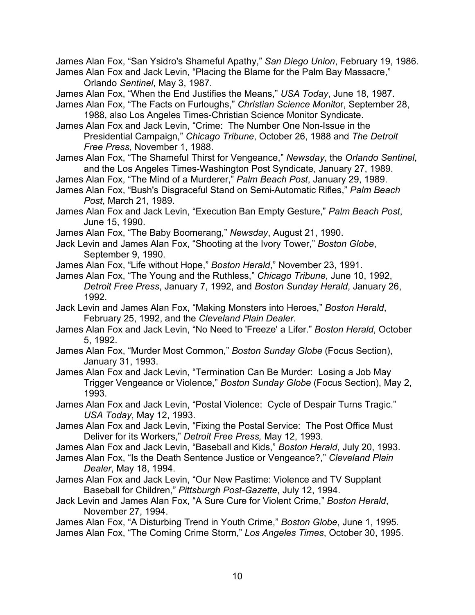James Alan Fox, "San Ysidro's Shameful Apathy," *San Diego Union*, February 19, 1986. James Alan Fox and Jack Levin, "Placing the Blame for the Palm Bay Massacre," Orlando *Sentinel*, May 3, 1987.

James Alan Fox, "When the End Justifies the Means," *USA Today*, June 18, 1987.

James Alan Fox, "The Facts on Furloughs," *Christian Science Monito*r, September 28, 1988, also Los Angeles Times-Christian Science Monitor Syndicate.

James Alan Fox and Jack Levin, "Crime: The Number One Non-Issue in the Presidential Campaign," *Chicago Tribune*, October 26, 1988 and *The Detroit Free Press*, November 1, 1988.

James Alan Fox, "The Shameful Thirst for Vengeance," *Newsday*, the *Orlando Sentinel*, and the Los Angeles Times-Washington Post Syndicate, January 27, 1989.

James Alan Fox, "The Mind of a Murderer," *Palm Beach Post*, January 29, 1989.

James Alan Fox, "Bush's Disgraceful Stand on Semi-Automatic Rifles," *Palm Beach Post*, March 21, 1989.

James Alan Fox and Jack Levin, "Execution Ban Empty Gesture," *Palm Beach Post*, June 15, 1990.

James Alan Fox, "The Baby Boomerang," *Newsday*, August 21, 1990.

Jack Levin and James Alan Fox, "Shooting at the Ivory Tower," *Boston Globe*, September 9, 1990.

James Alan Fox, "Life without Hope," *Boston Herald*," November 23, 1991.

James Alan Fox, "The Young and the Ruthless," *Chicago Tribune*, June 10, 1992, *Detroit Free Press*, January 7, 1992, and *Boston Sunday Herald*, January 26, 1992.

Jack Levin and James Alan Fox, "Making Monsters into Heroes," *Boston Herald*, February 25, 1992, and the *Cleveland Plain Dealer*.

James Alan Fox and Jack Levin, "No Need to 'Freeze' a Lifer." *Boston Herald*, October 5, 1992.

James Alan Fox, "Murder Most Common," *Boston Sunday Globe* (Focus Section), January 31, 1993.

James Alan Fox and Jack Levin, "Termination Can Be Murder: Losing a Job May Trigger Vengeance or Violence," *Boston Sunday Globe* (Focus Section), May 2, 1993.

James Alan Fox and Jack Levin, "Postal Violence: Cycle of Despair Turns Tragic." *USA Today*, May 12, 1993.

James Alan Fox and Jack Levin, "Fixing the Postal Service: The Post Office Must Deliver for its Workers," *Detroit Free Press,* May 12, 1993.

James Alan Fox and Jack Levin, "Baseball and Kids," *Boston Herald*, July 20, 1993.

James Alan Fox, "Is the Death Sentence Justice or Vengeance?," *Cleveland Plain Dealer*, May 18, 1994.

James Alan Fox and Jack Levin, "Our New Pastime: Violence and TV Supplant Baseball for Children," *Pittsburgh Post-Gazette*, July 12, 1994.

Jack Levin and James Alan Fox, "A Sure Cure for Violent Crime," *Boston Herald*, November 27, 1994.

James Alan Fox, "A Disturbing Trend in Youth Crime," *Boston Globe*, June 1, 1995. James Alan Fox, "The Coming Crime Storm," *Los Angeles Times*, October 30, 1995.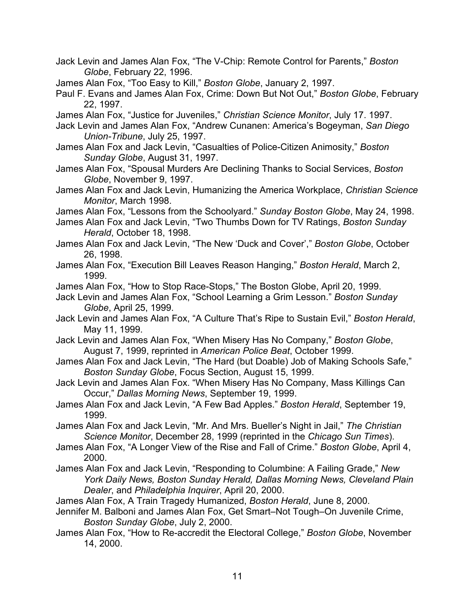- Jack Levin and James Alan Fox, "The V-Chip: Remote Control for Parents," *Boston Globe*, February 22, 1996.
- James Alan Fox, "Too Easy to Kill," *Boston Globe*, January 2, 1997.
- Paul F. Evans and James Alan Fox, Crime: Down But Not Out," *Boston Globe*, February 22, 1997.
- James Alan Fox, "Justice for Juveniles," *Christian Science Monitor*, July 17. 1997.
- Jack Levin and James Alan Fox, "Andrew Cunanen: America's Bogeyman, *San Diego Union-Tribune*, July 25, 1997.
- James Alan Fox and Jack Levin, "Casualties of Police-Citizen Animosity," *Boston Sunday Globe*, August 31, 1997.
- James Alan Fox, "Spousal Murders Are Declining Thanks to Social Services, *Boston Globe*, November 9, 1997.
- James Alan Fox and Jack Levin, Humanizing the America Workplace, *Christian Science Monitor*, March 1998.
- James Alan Fox, "Lessons from the Schoolyard." *Sunday Boston Globe*, May 24, 1998.
- James Alan Fox and Jack Levin, "Two Thumbs Down for TV Ratings, *Boston Sunday Herald*, October 18, 1998.
- James Alan Fox and Jack Levin, "The New 'Duck and Cover'," *Boston Globe*, October 26, 1998.
- James Alan Fox, "Execution Bill Leaves Reason Hanging," *Boston Herald*, March 2, 1999.
- James Alan Fox, "How to Stop Race-Stops," The Boston Globe, April 20, 1999.
- Jack Levin and James Alan Fox, "School Learning a Grim Lesson." *Boston Sunday Globe*, April 25, 1999.
- Jack Levin and James Alan Fox, "A Culture That's Ripe to Sustain Evil," *Boston Herald*, May 11, 1999.
- Jack Levin and James Alan Fox, "When Misery Has No Company," *Boston Globe*, August 7, 1999, reprinted in *American Police Beat*, October 1999.
- James Alan Fox and Jack Levin, "The Hard (but Doable) Job of Making Schools Safe," *Boston Sunday Globe*, Focus Section, August 15, 1999.
- Jack Levin and James Alan Fox. "When Misery Has No Company, Mass Killings Can Occur," *Dallas Morning News*, September 19, 1999.
- James Alan Fox and Jack Levin, "A Few Bad Apples." *Boston Herald*, September 19, 1999.
- James Alan Fox and Jack Levin, "Mr. And Mrs. Bueller's Night in Jail," *The Christian Science Monitor*, December 28, 1999 (reprinted in the *Chicago Sun Times*).
- James Alan Fox, "A Longer View of the Rise and Fall of Crime." *Boston Globe*, April 4, 2000.
- James Alan Fox and Jack Levin, "Responding to Columbine: A Failing Grade," *New York Daily News, Boston Sunday Herald, Dallas Morning News, Cleveland Plain Dealer*, and *Philadelphia Inquirer*, April 20, 2000.
- James Alan Fox, A Train Tragedy Humanized, *Boston Herald*, June 8, 2000.
- Jennifer M. Balboni and James Alan Fox, Get Smart–Not Tough–On Juvenile Crime, *Boston Sunday Globe*, July 2, 2000.
- James Alan Fox, "How to Re-accredit the Electoral College," *Boston Globe*, November 14, 2000.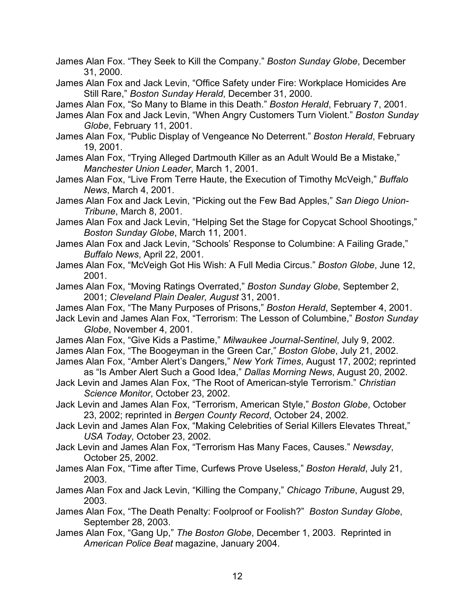- James Alan Fox. "They Seek to Kill the Company." *Boston Sunday Globe*, December 31, 2000.
- James Alan Fox and Jack Levin, "Office Safety under Fire: Workplace Homicides Are Still Rare," *Boston Sunday Herald*, December 31, 2000.
- James Alan Fox, "So Many to Blame in this Death." *Boston Herald*, February 7, 2001.
- James Alan Fox and Jack Levin, "When Angry Customers Turn Violent." *Boston Sunday Globe*, February 11, 2001.
- James Alan Fox, "Public Display of Vengeance No Deterrent." *Boston Herald*, February 19, 2001.
- James Alan Fox, "Trying Alleged Dartmouth Killer as an Adult Would Be a Mistake," *Manchester Union Leader*, March 1, 2001.
- James Alan Fox, "Live From Terre Haute, the Execution of Timothy McVeigh," *Buffalo News*, March 4, 2001.
- James Alan Fox and Jack Levin, "Picking out the Few Bad Apples," *San Diego Union-Tribune*, March 8, 2001.
- James Alan Fox and Jack Levin, "Helping Set the Stage for Copycat School Shootings," *Boston Sunday Globe*, March 11, 2001.
- James Alan Fox and Jack Levin, "Schools' Response to Columbine: A Failing Grade," *Buffalo News*, April 22, 2001.
- James Alan Fox, "McVeigh Got His Wish: A Full Media Circus." *Boston Globe*, June 12, 2001.
- James Alan Fox, "Moving Ratings Overrated," *Boston Sunday Globe*, September 2, 2001; *Cleveland Plain Dealer, August* 31, 2001.
- James Alan Fox, "The Many Purposes of Prisons," *Boston Herald*, September 4, 2001.
- Jack Levin and James Alan Fox, "Terrorism: The Lesson of Columbine," *Boston Sunday Globe*, November 4, 2001.
- James Alan Fox, "Give Kids a Pastime," *Milwaukee Journal-Sentinel*, July 9, 2002.
- James Alan Fox, "The Boogeyman in the Green Car," *Boston Globe*, July 21, 2002.
- James Alan Fox, "Amber Alert's Dangers," *New York Times*, August 17, 2002; reprinted as "Is Amber Alert Such a Good Idea," *Dallas Morning News*, August 20, 2002.
- Jack Levin and James Alan Fox, "The Root of American-style Terrorism." *Christian Science Monitor*, October 23, 2002.
- Jack Levin and James Alan Fox, "Terrorism, American Style," *Boston Globe*, October 23, 2002; reprinted in *Bergen County Record*, October 24, 2002.
- Jack Levin and James Alan Fox, "Making Celebrities of Serial Killers Elevates Threat," *USA Today*, October 23, 2002.
- Jack Levin and James Alan Fox, "Terrorism Has Many Faces, Causes." *Newsday*, October 25, 2002.
- James Alan Fox, "Time after Time, Curfews Prove Useless," *Boston Herald*, July 21, 2003.
- James Alan Fox and Jack Levin, "Killing the Company," *Chicago Tribune*, August 29, 2003.
- James Alan Fox, "The Death Penalty: Foolproof or Foolish?" *Boston Sunday Globe*, September 28, 2003.
- James Alan Fox, "Gang Up," *The Boston Globe*, December 1, 2003. Reprinted in *American Police Beat* magazine, January 2004.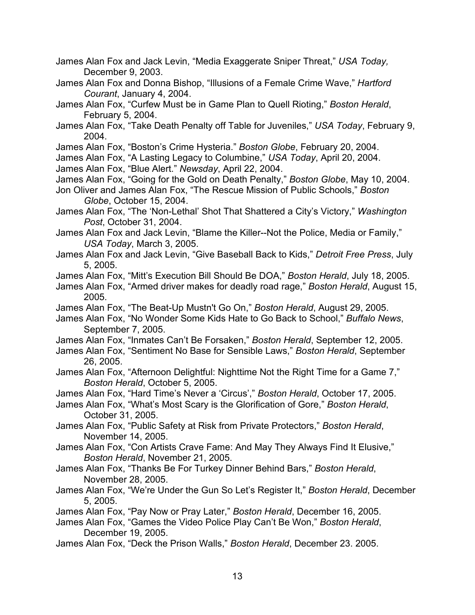- James Alan Fox and Jack Levin, "Media Exaggerate Sniper Threat," *USA Today,* December 9, 2003.
- James Alan Fox and Donna Bishop, "Illusions of a Female Crime Wave," *Hartford Courant*, January 4, 2004.
- James Alan Fox, "Curfew Must be in Game Plan to Quell Rioting," *Boston Herald*, February 5, 2004.
- James Alan Fox, "Take Death Penalty off Table for Juveniles," *USA Today*, February 9, 2004.
- James Alan Fox, "Boston's Crime Hysteria." *Boston Globe*, February 20, 2004.
- James Alan Fox, "A Lasting Legacy to Columbine," *USA Today*, April 20, 2004.
- James Alan Fox, "Blue Alert." *Newsday*, April 22, 2004.
- James Alan Fox, "Going for the Gold on Death Penalty," *Boston Globe*, May 10, 2004.
- Jon Oliver and James Alan Fox, "The Rescue Mission of Public Schools," *Boston Globe*, October 15, 2004.
- James Alan Fox, "The 'Non-Lethal' Shot That Shattered a City's Victory," *Washington Post*, October 31, 2004.
- James Alan Fox and Jack Levin, "Blame the Killer--Not the Police, Media or Family," *USA Today*, March 3, 2005.
- James Alan Fox and Jack Levin, "Give Baseball Back to Kids," *Detroit Free Press*, July 5, 2005.
- James Alan Fox, "Mitt's Execution Bill Should Be DOA," *Boston Herald*, July 18, 2005.
- James Alan Fox, "Armed driver makes for deadly road rage," *Boston Herald*, August 15, 2005.
- James Alan Fox, "The Beat-Up Mustn't Go On," *Boston Herald*, August 29, 2005.
- James Alan Fox, "No Wonder Some Kids Hate to Go Back to School," *Buffalo News*, September 7, 2005.
- James Alan Fox, "Inmates Can't Be Forsaken," *Boston Herald*, September 12, 2005.
- James Alan Fox, "Sentiment No Base for Sensible Laws," *Boston Herald*, September 26, 2005.
- James Alan Fox, "Afternoon Delightful: Nighttime Not the Right Time for a Game 7," *Boston Herald*, October 5, 2005.
- James Alan Fox, "Hard Time's Never a 'Circus'," *Boston Herald*, October 17, 2005.
- James Alan Fox, "What's Most Scary is the Glorification of Gore," *Boston Herald*, October 31, 2005.
- James Alan Fox, "Public Safety at Risk from Private Protectors," *Boston Herald*, November 14, 2005.
- James Alan Fox, "Con Artists Crave Fame: And May They Always Find It Elusive," *Boston Herald*, November 21, 2005.
- James Alan Fox, "Thanks Be For Turkey Dinner Behind Bars," *Boston Herald*, November 28, 2005.
- James Alan Fox, "We're Under the Gun So Let's Register It," *Boston Herald*, December 5, 2005.
- James Alan Fox, "Pay Now or Pray Later," *Boston Herald*, December 16, 2005.
- James Alan Fox, "Games the Video Police Play Can't Be Won," *Boston Herald*, December 19, 2005.
- James Alan Fox, "Deck the Prison Walls," *Boston Herald*, December 23. 2005.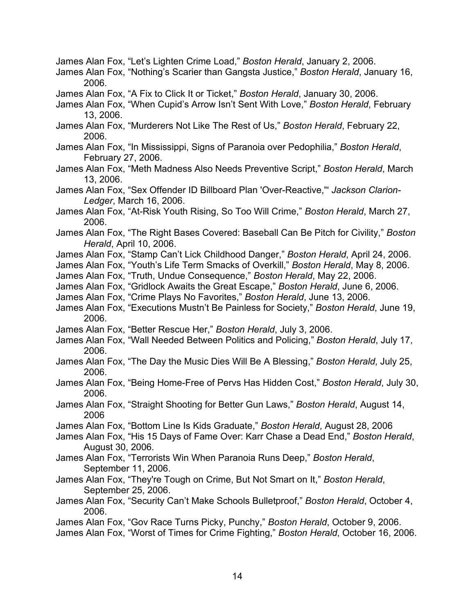- James Alan Fox, "Let's Lighten Crime Load," *Boston Herald*, January 2, 2006.
- James Alan Fox, "Nothing's Scarier than Gangsta Justice," *Boston Herald*, January 16, 2006.
- James Alan Fox, "A Fix to Click It or Ticket," *Boston Herald*, January 30, 2006.
- James Alan Fox, "When Cupid's Arrow Isn't Sent With Love," *Boston Herald*, February 13, 2006.
- James Alan Fox, "Murderers Not Like The Rest of Us," *Boston Herald*, February 22, 2006.
- James Alan Fox, "In Mississippi, Signs of Paranoia over Pedophilia," *Boston Herald*, February 27, 2006.
- James Alan Fox, "Meth Madness Also Needs Preventive Script," *Boston Herald*, March 13, 2006.
- James Alan Fox, "Sex Offender ID Billboard Plan 'Over-Reactive,'" *Jackson Clarion-Ledger*, March 16, 2006.
- James Alan Fox, "At-Risk Youth Rising, So Too Will Crime," *Boston Herald*, March 27, 2006.
- James Alan Fox, "The Right Bases Covered: Baseball Can Be Pitch for Civility," *Boston Herald*, April 10, 2006.
- James Alan Fox, "Stamp Can't Lick Childhood Danger," *Boston Herald*, April 24, 2006.
- James Alan Fox, "Youth's Life Term Smacks of Overkill," *Boston Herald*, May 8, 2006.
- James Alan Fox, "Truth, Undue Consequence," *Boston Herald*, May 22, 2006.
- James Alan Fox, "Gridlock Awaits the Great Escape," *Boston Herald*, June 6, 2006.
- James Alan Fox, "Crime Plays No Favorites," *Boston Herald*, June 13, 2006.
- James Alan Fox, "Executions Mustn't Be Painless for Society," *Boston Herald*, June 19, 2006.
- James Alan Fox, "Better Rescue Her," *Boston Herald*, July 3, 2006.
- James Alan Fox, "Wall Needed Between Politics and Policing," *Boston Herald*, July 17, 2006.
- James Alan Fox, "The Day the Music Dies Will Be A Blessing," *Boston Herald*, July 25, 2006.
- James Alan Fox, "Being Home-Free of Pervs Has Hidden Cost," *Boston Herald*, July 30, 2006.
- James Alan Fox, "Straight Shooting for Better Gun Laws," *Boston Herald*, August 14, 2006
- James Alan Fox, "Bottom Line Is Kids Graduate," *Boston Herald*, August 28, 2006
- James Alan Fox, "His 15 Days of Fame Over: Karr Chase a Dead End," *Boston Herald*, August 30, 2006.
- James Alan Fox, "Terrorists Win When Paranoia Runs Deep," *Boston Herald*, September 11, 2006.
- James Alan Fox, "They're Tough on Crime, But Not Smart on It," *Boston Herald*, September 25, 2006.
- James Alan Fox, "Security Can't Make Schools Bulletproof," *Boston Herald*, October 4, 2006.
- James Alan Fox, "Gov Race Turns Picky, Punchy," *Boston Herald*, October 9, 2006. James Alan Fox, "Worst of Times for Crime Fighting," *Boston Herald*, October 16, 2006.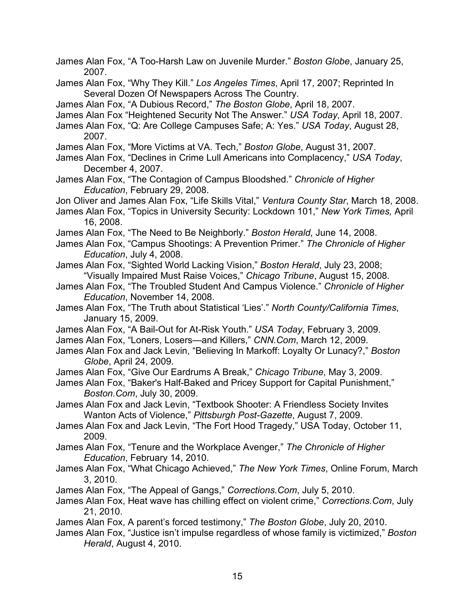James Alan Fox, "A Too-Harsh Law on Juvenile Murder." *Boston Globe*, January 25, 2007. James Alan Fox, "Why They Kill." *Los Angeles Times*, April 17, 2007; Reprinted In Several Dozen Of Newspapers Across The Country. James Alan Fox, "A Dubious Record," *The Boston Globe*, April 18, 2007. James Alan Fox "Heightened Security Not The Answer." *USA Today*, April 18, 2007. James Alan Fox, "Q: Are College Campuses Safe; A: Yes." *USA Today*, August 28, 2007. James Alan Fox, "More Victims at VA. Tech," *Boston Globe*, August 31, 2007. James Alan Fox, "Declines in Crime Lull Americans into Complacency," *USA Today*, December 4, 2007. James Alan Fox, "The Contagion of Campus Bloodshed." *Chronicle of Higher Education*, February 29, 2008. Jon Oliver and James Alan Fox, "Life Skills Vital," *Ventura County Star*, March 18, 2008. James Alan Fox, "Topics in University Security: Lockdown 101," *New York Times,* April 16, 2008. James Alan Fox, "The Need to Be Neighborly." *Boston Herald*, June 14, 2008. James Alan Fox, "Campus Shootings: A Prevention Primer." *The Chronicle of Higher Education*, July 4, 2008. James Alan Fox, "Sighted World Lacking Vision," *Boston Herald*, July 23, 2008; "Visually Impaired Must Raise Voices," *Chicago Tribune*, August 15, 2008. James Alan Fox, "The Troubled Student And Campus Violence." *Chronicle of Higher Education*, November 14, 2008. James Alan Fox, "The Truth about Statistical 'Lies'." *North County/California Times*, January 15, 2009. James Alan Fox, "A Bail-Out for At-Risk Youth." *USA Today*, February 3, 2009. James Alan Fox, "Loners, Losers—and Killers," *CNN.Com*, March 12, 2009. James Alan Fox and Jack Levin, "Believing In Markoff: Loyalty Or Lunacy?," *Boston Globe*, April 24, 2009. James Alan Fox, "Give Our Eardrums A Break," *Chicago Tribune*, May 3, 2009. James Alan Fox, "Baker's Half-Baked and Pricey Support for Capital Punishment," *Boston.Com*, July 30, 2009. James Alan Fox and Jack Levin, "Textbook Shooter: A Friendless Society Invites Wanton Acts of Violence," *Pittsburgh Post-Gazette*, August 7, 2009. James Alan Fox and Jack Levin, "The Fort Hood Tragedy," USA Today, October 11, 2009. James Alan Fox, "Tenure and the Workplace Avenger," *The Chronicle of Higher Education*, February 14, 2010. James Alan Fox, "What Chicago Achieved," *The New York Times*, Online Forum, March 3, 2010. James Alan Fox, "The Appeal of Gangs," *Corrections.Com*, July 5, 2010. James Alan Fox, Heat wave has chilling effect on violent crime," *Corrections.Com*, July 21, 2010. James Alan Fox, A parent's forced testimony," *The Boston Globe*, July 20, 2010. James Alan Fox, "Justice isn't impulse regardless of whose family is victimized," *Boston Herald*, August 4, 2010.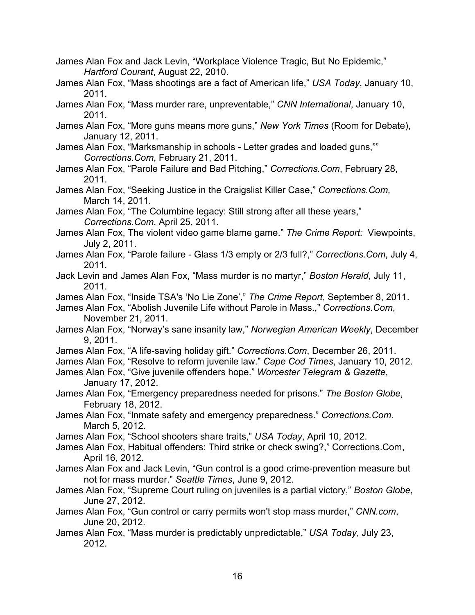- James Alan Fox and Jack Levin, "Workplace Violence Tragic, But No Epidemic," *Hartford Courant*, August 22, 2010.
- James Alan Fox, "Mass shootings are a fact of American life," *USA Today*, January 10, 2011.
- James Alan Fox, "Mass murder rare, unpreventable," *CNN International*, January 10, 2011.
- James Alan Fox, "More guns means more guns," *New York Times* (Room for Debate), January 12, 2011.
- James Alan Fox, "Marksmanship in schools Letter grades and loaded guns,"" *Corrections.Com*, February 21, 2011.
- James Alan Fox, "Parole Failure and Bad Pitching," *Corrections.Com*, February 28, 2011.
- James Alan Fox, "Seeking Justice in the Craigslist Killer Case," *Corrections.Com,* March 14, 2011.
- James Alan Fox, "The Columbine legacy: Still strong after all these years," *Corrections.Com*, April 25, 2011.
- James Alan Fox, The violent video game blame game." *The Crime Report:* Viewpoints, July 2, 2011.
- James Alan Fox, "Parole failure Glass 1/3 empty or 2/3 full?," *Corrections.Com*, July 4, 2011.
- Jack Levin and James Alan Fox, "Mass murder is no martyr," *Boston Herald*, July 11, 2011.
- James Alan Fox, "Inside TSA's 'No Lie Zone'," *The Crime Report*, September 8, 2011.
- James Alan Fox, "Abolish Juvenile Life without Parole in Mass.," *Corrections.Com*, November 21, 2011.
- James Alan Fox, "Norway's sane insanity law," *Norwegian American Weekly*, December 9, 2011.
- James Alan Fox, "A life-saving holiday gift." *Corrections.Com*, December 26, 2011.
- James Alan Fox, "Resolve to reform juvenile law." *Cape Cod Times*, January 10, 2012.
- James Alan Fox, "Give juvenile offenders hope." *Worcester Telegram & Gazette*, January 17, 2012.
- James Alan Fox, "Emergency preparedness needed for prisons." *The Boston Globe*, February 18, 2012.
- James Alan Fox, "Inmate safety and emergency preparedness." *Corrections.Com*. March 5, 2012.
- James Alan Fox, "School shooters share traits," *USA Today*, April 10, 2012.
- James Alan Fox, Habitual offenders: Third strike or check swing?," Corrections.Com, April 16, 2012.
- James Alan Fox and Jack Levin, "Gun control is a good crime-prevention measure but not for mass murder." *Seattle Times*, June 9, 2012.
- James Alan Fox, "Supreme Court ruling on juveniles is a partial victory," *Boston Globe*, June 27, 2012.
- James Alan Fox, "Gun control or carry permits won't stop mass murder," *CNN.com*, June 20, 2012.
- James Alan Fox, "Mass murder is predictably unpredictable," *USA Today*, July 23, 2012.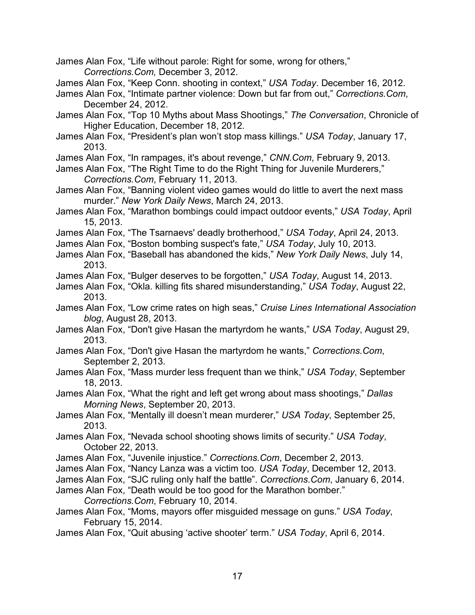James Alan Fox, "Life without parole: Right for some, wrong for others," *Corrections.Com,* December 3, 2012.

- James Alan Fox, "Keep Conn. shooting in context," *USA Today*. December 16, 2012.
- James Alan Fox, "Intimate partner violence: Down but far from out," *Corrections.Com*, December 24, 2012.
- James Alan Fox, "Top 10 Myths about Mass Shootings," *The Conversation*, Chronicle of Higher Education, December 18, 2012.
- James Alan Fox, "President's plan won't stop mass killings." *USA Today*, January 17, 2013.
- James Alan Fox, "In rampages, it's about revenge," *CNN.Com*, February 9, 2013.
- James Alan Fox, "The Right Time to do the Right Thing for Juvenile Murderers," *Corrections.Com*, February 11, 2013.
- James Alan Fox, "Banning violent video games would do little to avert the next mass murder." *New York Daily News*, March 24, 2013.
- James Alan Fox, "Marathon bombings could impact outdoor events," *USA Today*, April 15, 2013.
- James Alan Fox, "The Tsarnaevs' deadly brotherhood," *USA Today*, April 24, 2013.
- James Alan Fox, "Boston bombing suspect's fate," *USA Today*, July 10, 2013.
- James Alan Fox, "Baseball has abandoned the kids," *New York Daily News*, July 14, 2013.
- James Alan Fox, "Bulger deserves to be forgotten," *USA Today*, August 14, 2013.
- James Alan Fox, "Okla. killing fits shared misunderstanding," *USA Today*, August 22, 2013.
- James Alan Fox, "Low crime rates on high seas," *Cruise Lines International Association blog*, August 28, 2013.
- James Alan Fox, "Don't give Hasan the martyrdom he wants," *USA Today*, August 29, 2013.
- James Alan Fox, "Don't give Hasan the martyrdom he wants," *Corrections.Com*, September 2, 2013.
- James Alan Fox, "Mass murder less frequent than we think," *USA Today*, September 18, 2013.
- James Alan Fox, "What the right and left get wrong about mass shootings," *Dallas Morning News*, September 20, 2013.
- James Alan Fox, "Mentally ill doesn't mean murderer," *USA Today*, September 25, 2013.
- James Alan Fox, "Nevada school shooting shows limits of security." *USA Today*, October 22, 2013.
- James Alan Fox, "Juvenile injustice." *Corrections.Com*, December 2, 2013.
- James Alan Fox, "Nancy Lanza was a victim too. *USA Today*, December 12, 2013.
- James Alan Fox, "SJC ruling only half the battle". *Corrections.Com*, January 6, 2014.
- James Alan Fox, "Death would be too good for the Marathon bomber." *Corrections.Com*, February 10, 2014.
- James Alan Fox, "Moms, mayors offer misguided message on guns." *USA Today*, February 15, 2014.
- James Alan Fox, "Quit abusing 'active shooter' term." *USA Today*, April 6, 2014.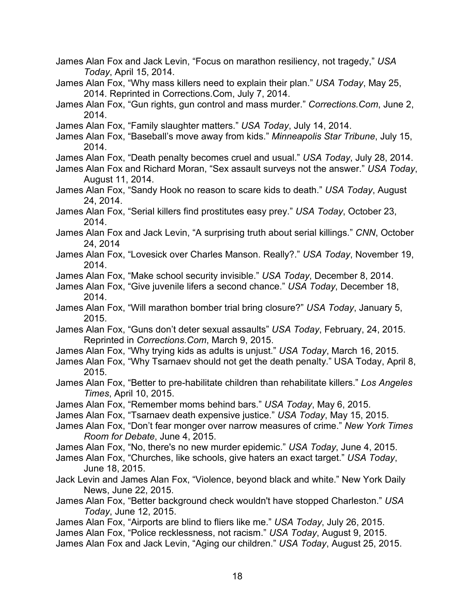- James Alan Fox and Jack Levin, "Focus on marathon resiliency, not tragedy," *USA Today*, April 15, 2014.
- James Alan Fox, "Why mass killers need to explain their plan." *USA Today*, May 25, 2014. Reprinted in Corrections.Com, July 7, 2014.
- James Alan Fox, "Gun rights, gun control and mass murder." *Corrections.Com*, June 2, 2014.
- James Alan Fox, "Family slaughter matters." *USA Today*, July 14, 2014.
- James Alan Fox, "Baseball's move away from kids." *Minneapolis Star Tribune*, July 15, 2014.
- James Alan Fox, "Death penalty becomes cruel and usual." *USA Today*, July 28, 2014.
- James Alan Fox and Richard Moran, "Sex assault surveys not the answer." *USA Today*, August 11, 2014.
- James Alan Fox, "Sandy Hook no reason to scare kids to death." *USA Today*, August 24, 2014.
- James Alan Fox, "Serial killers find prostitutes easy prey." *USA Today*, October 23, 2014.
- James Alan Fox and Jack Levin, "A surprising truth about serial killings." *CNN*, October 24, 2014
- James Alan Fox, "Lovesick over Charles Manson. Really?." *USA Today*, November 19, 2014.
- James Alan Fox, "Make school security invisible." *USA Today*, December 8, 2014.
- James Alan Fox, "Give juvenile lifers a second chance." *USA Today*, December 18, 2014.
- James Alan Fox, "Will marathon bomber trial bring closure?" *USA Today*, January 5, 2015.
- James Alan Fox, "Guns don't deter sexual assaults" *USA Today*, February, 24, 2015. Reprinted in *Corrections.Com*, March 9, 2015.
- James Alan Fox, "Why trying kids as adults is unjust." *USA Today*, March 16, 2015.
- James Alan Fox, "Why Tsarnaev should not get the death penalty." USA Today, April 8, 2015.
- James Alan Fox, "Better to pre-habilitate children than rehabilitate killers." *Los Angeles Times*, April 10, 2015.
- James Alan Fox, "Remember moms behind bars." *USA Today*, May 6, 2015.
- James Alan Fox, "Tsarnaev death expensive justice." *USA Today*, May 15, 2015.
- James Alan Fox, "Don't fear monger over narrow measures of crime." *New York Times Room for Debate*, June 4, 2015.
- James Alan Fox, "No, there's no new murder epidemic." *USA Today*, June 4, 2015.
- James Alan Fox, "Churches, like schools, give haters an exact target." *USA Today*, June 18, 2015.
- Jack Levin and James Alan Fox, "Violence, beyond black and white." New York Daily News, June 22, 2015.
- James Alan Fox, "Better background check wouldn't have stopped Charleston." *USA Today*, June 12, 2015.
- James Alan Fox, "Airports are blind to fliers like me." *USA Today*, July 26, 2015. James Alan Fox, "Police recklessness, not racism." *USA Today*, August 9, 2015. James Alan Fox and Jack Levin, "Aging our children." *USA Today*, August 25, 2015.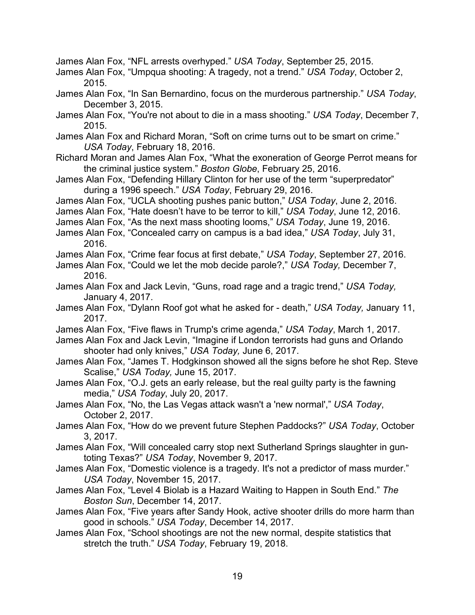James Alan Fox, "NFL arrests overhyped." *USA Today*, September 25, 2015.

James Alan Fox, "Umpqua shooting: A tragedy, not a trend." *USA Today*, October 2, 2015.

- James Alan Fox, "In San Bernardino, focus on the murderous partnership." *USA Today*, December 3, 2015.
- James Alan Fox, "You're not about to die in a mass shooting." *USA Today*, December 7, 2015.
- James Alan Fox and Richard Moran, "Soft on crime turns out to be smart on crime." *USA Today*, February 18, 2016.
- Richard Moran and James Alan Fox, "What the exoneration of George Perrot means for the criminal justice system." *Boston Globe*, February 25, 2016.
- James Alan Fox, "Defending Hillary Clinton for her use of the term "superpredator" during a 1996 speech." *USA Today*, February 29, 2016.
- James Alan Fox, "UCLA shooting pushes panic button," *USA Today*, June 2, 2016.
- James Alan Fox, "Hate doesn't have to be terror to kill," *USA Today*, June 12, 2016.
- James Alan Fox, "As the next mass shooting looms," *USA Today*, June 19, 2016.
- James Alan Fox, "Concealed carry on campus is a bad idea," *USA Today*, July 31, 2016.
- James Alan Fox, "Crime fear focus at first debate," *USA Today*, September 27, 2016.
- James Alan Fox, "Could we let the mob decide parole?," *USA Today,* December 7, 2016.
- James Alan Fox and Jack Levin, "Guns, road rage and a tragic trend," *USA Today,* January 4, 2017.
- James Alan Fox, "Dylann Roof got what he asked for death," *USA Today,* January 11, 2017.
- James Alan Fox, "Five flaws in Trump's crime agenda," *USA Today*, March 1, 2017.
- James Alan Fox and Jack Levin, "Imagine if London terrorists had guns and Orlando shooter had only knives," *USA Today,* June 6, 2017.
- James Alan Fox, "James T. Hodgkinson showed all the signs before he shot Rep. Steve Scalise," *USA Today,* June 15, 2017.
- James Alan Fox, "O.J. gets an early release, but the real guilty party is the fawning media," *USA Today*, July 20, 2017.
- James Alan Fox, "No, the Las Vegas attack wasn't a 'new normal'," *USA Today*, October 2, 2017.
- James Alan Fox, "How do we prevent future Stephen Paddocks?" *USA Today*, October 3, 2017.
- James Alan Fox, "Will concealed carry stop next Sutherland Springs slaughter in guntoting Texas?" *USA Today*, November 9, 2017.
- James Alan Fox, "Domestic violence is a tragedy. It's not a predictor of mass murder." *USA Today*, November 15, 2017.
- James Alan Fox, "Level 4 Biolab is a Hazard Waiting to Happen in South End." *The Boston Sun*, December 14, 2017.
- James Alan Fox, "Five years after Sandy Hook, active shooter drills do more harm than good in schools." *USA Today*, December 14, 2017.
- James Alan Fox, "School shootings are not the new normal, despite statistics that stretch the truth." *USA Today*, February 19, 2018.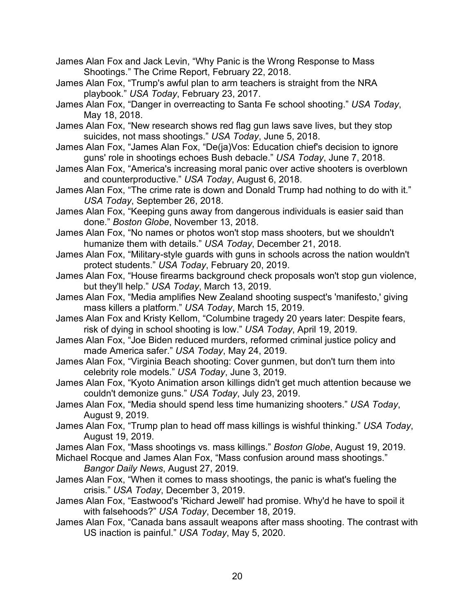- James Alan Fox and Jack Levin, "Why Panic is the Wrong Response to Mass Shootings." The Crime Report, February 22, 2018.
- James Alan Fox, "Trump's awful plan to arm teachers is straight from the NRA playbook." *USA Today*, February 23, 2017.
- James Alan Fox, "Danger in overreacting to Santa Fe school shooting." *USA Today*, May 18, 2018.
- James Alan Fox, "New research shows red flag gun laws save lives, but they stop suicides, not mass shootings." *USA Today*, June 5, 2018.
- James Alan Fox, "James Alan Fox, "De(ja)Vos: Education chief's decision to ignore guns' role in shootings echoes Bush debacle." *USA Today*, June 7, 2018.
- James Alan Fox, "America's increasing moral panic over active shooters is overblown and counterproductive." *USA Today*, August 6, 2018.
- James Alan Fox, "The crime rate is down and Donald Trump had nothing to do with it." *USA Today*, September 26, 2018.
- James Alan Fox, "Keeping guns away from dangerous individuals is easier said than done." *Boston Globe*, November 13, 2018.
- James Alan Fox, "No names or photos won't stop mass shooters, but we shouldn't humanize them with details." *USA Today*, December 21, 2018.
- James Alan Fox, "Military-style guards with guns in schools across the nation wouldn't protect students." *USA Today*, February 20, 2019.
- James Alan Fox, "House firearms background check proposals won't stop gun violence, but they'll help." *USA Today*, March 13, 2019.
- James Alan Fox, "Media amplifies New Zealand shooting suspect's 'manifesto,' giving mass killers a platform." *USA Today*, March 15, 2019.
- James Alan Fox and Kristy Kellom, "Columbine tragedy 20 years later: Despite fears, risk of dying in school shooting is low." *USA Today*, April 19, 2019.
- James Alan Fox, "Joe Biden reduced murders, reformed criminal justice policy and made America safer." *USA Today*, May 24, 2019.
- James Alan Fox, "Virginia Beach shooting: Cover gunmen, but don't turn them into celebrity role models." *USA Today*, June 3, 2019.
- James Alan Fox, "Kyoto Animation arson killings didn't get much attention because we couldn't demonize guns." *USA Today*, July 23, 2019.
- James Alan Fox, "Media should spend less time humanizing shooters." *USA Today*, August 9, 2019.
- James Alan Fox, "Trump plan to head off mass killings is wishful thinking." *USA Today*, August 19, 2019.
- James Alan Fox, "Mass shootings vs. mass killings." *Boston Globe*, August 19, 2019.
- Michael Rocque and James Alan Fox, "Mass confusion around mass shootings." *Bangor Daily News*, August 27, 2019.
- James Alan Fox, "When it comes to mass shootings, the panic is what's fueling the crisis." *USA Today*, December 3, 2019.
- James Alan Fox, "Eastwood's 'Richard Jewell' had promise. Why'd he have to spoil it with falsehoods?" *USA Today*, December 18, 2019.
- James Alan Fox, "Canada bans assault weapons after mass shooting. The contrast with US inaction is painful." *USA Today*, May 5, 2020.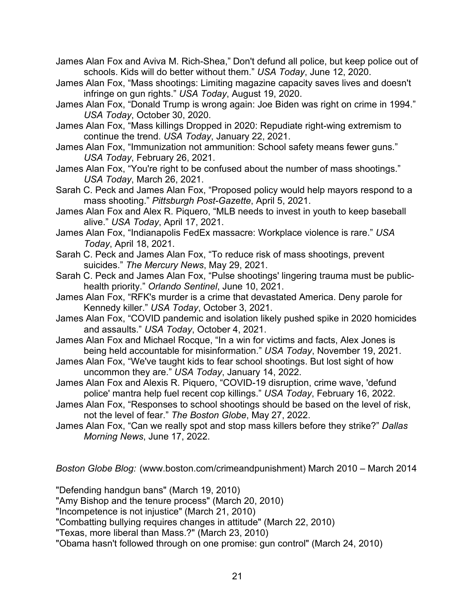- James Alan Fox and Aviva M. Rich-Shea," Don't defund all police, but keep police out of schools. Kids will do better without them." *USA Today*, June 12, 2020.
- James Alan Fox, "Mass shootings: Limiting magazine capacity saves lives and doesn't infringe on gun rights." *USA Today*, August 19, 2020.
- James Alan Fox, "Donald Trump is wrong again: Joe Biden was right on crime in 1994." *USA Today*, October 30, 2020.
- James Alan Fox, "Mass killings Dropped in 2020: Repudiate right-wing extremism to continue the trend. *USA Today*, January 22, 2021.
- James Alan Fox, "Immunization not ammunition: School safety means fewer guns." *USA Today*, February 26, 2021.
- James Alan Fox, "You're right to be confused about the number of mass shootings." *USA Today*, March 26, 2021.
- Sarah C. Peck and James Alan Fox, "Proposed policy would help mayors respond to a mass shooting." *Pittsburgh Post-Gazette*, April 5, 2021.
- James Alan Fox and Alex R. Piquero, "MLB needs to invest in youth to keep baseball alive." *USA Today*, April 17, 2021.
- James Alan Fox, "Indianapolis FedEx massacre: Workplace violence is rare." *USA Today*, April 18, 2021.
- Sarah C. Peck and James Alan Fox, "To reduce risk of mass shootings, prevent suicides." *The Mercury News*, May 29, 2021.
- Sarah C. Peck and James Alan Fox, "Pulse shootings' lingering trauma must be publichealth priority." *Orlando Sentinel*, June 10, 2021.
- James Alan Fox, "RFK's murder is a crime that devastated America. Deny parole for Kennedy killer." *USA Today*, October 3, 2021.
- James Alan Fox, "COVID pandemic and isolation likely pushed spike in 2020 homicides and assaults." *USA Today*, October 4, 2021.
- James Alan Fox and Michael Rocque, "In a win for victims and facts, Alex Jones is being held accountable for misinformation." *USA Today*, November 19, 2021.
- James Alan Fox, "We've taught kids to fear school shootings. But lost sight of how uncommon they are." *USA Today*, January 14, 2022.
- James Alan Fox and Alexis R. Piquero, "COVID-19 disruption, crime wave, 'defund police' mantra help fuel recent cop killings." *USA Today*, February 16, 2022.
- James Alan Fox, "Responses to school shootings should be based on the level of risk, not the level of fear." *The Boston Globe*, May 27, 2022.
- James Alan Fox, "Can we really spot and stop mass killers before they strike?" *Dallas Morning News*, June 17, 2022.

*Boston Globe Blog:* (www.boston.com/crimeandpunishment) March 2010 – March 2014

"Defending handgun bans" (March 19, 2010)

"Amy Bishop and the tenure process" (March 20, 2010)

"Incompetence is not injustice" (March 21, 2010)

"Combatting bullying requires changes in attitude" (March 22, 2010)

- "Texas, more liberal than Mass.?" (March 23, 2010)
- "Obama hasn't followed through on one promise: gun control" (March 24, 2010)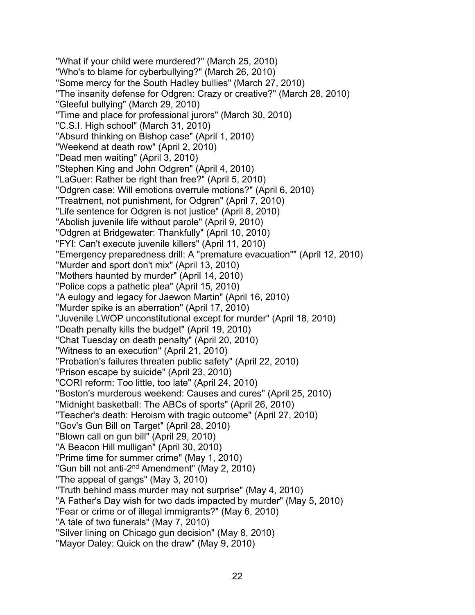"What if your child were murdered?" (March 25, 2010) "Who's to blame for cyberbullying?" (March 26, 2010) "Some mercy for the South Hadley bullies" (March 27, 2010) "The insanity defense for Odgren: Crazy or creative?" (March 28, 2010) "Gleeful bullying" (March 29, 2010) "Time and place for professional jurors" (March 30, 2010) "C.S.I. High school" (March 31, 2010) "Absurd thinking on Bishop case" (April 1, 2010) "Weekend at death row" (April 2, 2010) "Dead men waiting" (April 3, 2010) "Stephen King and John Odgren" (April 4, 2010) "LaGuer: Rather be right than free?" (April 5, 2010) "Odgren case: Will emotions overrule motions?" (April 6, 2010) "Treatment, not punishment, for Odgren" (April 7, 2010) "Life sentence for Odgren is not justice" (April 8, 2010) "Abolish juvenile life without parole" (April 9, 2010) "Odgren at Bridgewater: Thankfully" (April 10, 2010) "FYI: Can't execute juvenile killers" (April 11, 2010) "Emergency preparedness drill: A "premature evacuation"" (April 12, 2010) "Murder and sport don't mix" (April 13, 2010) "Mothers haunted by murder" (April 14, 2010) "Police cops a pathetic plea" (April 15, 2010) "A eulogy and legacy for Jaewon Martin" (April 16, 2010) "Murder spike is an aberration" (April 17, 2010) "Juvenile LWOP unconstitutional except for murder" (April 18, 2010) "Death penalty kills the budget" (April 19, 2010) "Chat Tuesday on death penalty" (April 20, 2010) "Witness to an execution" (April 21, 2010) "Probation's failures threaten public safety" (April 22, 2010) "Prison escape by suicide" (April 23, 2010) "CORI reform: Too little, too late" (April 24, 2010) "Boston's murderous weekend: Causes and cures" (April 25, 2010) "Midnight basketball: The ABCs of sports" (April 26, 2010) "Teacher's death: Heroism with tragic outcome" (April 27, 2010) "Gov's Gun Bill on Target" (April 28, 2010) "Blown call on gun bill" (April 29, 2010) "A Beacon Hill mulligan" (April 30, 2010) "Prime time for summer crime" (May 1, 2010) "Gun bill not anti-2nd Amendment" (May 2, 2010) "The appeal of gangs" (May 3, 2010) "Truth behind mass murder may not surprise" (May 4, 2010) "A Father's Day wish for two dads impacted by murder" (May 5, 2010) "Fear or crime or of illegal immigrants?" (May 6, 2010) "A tale of two funerals" (May 7, 2010) "Silver lining on Chicago gun decision" (May 8, 2010) "Mayor Daley: Quick on the draw" (May 9, 2010)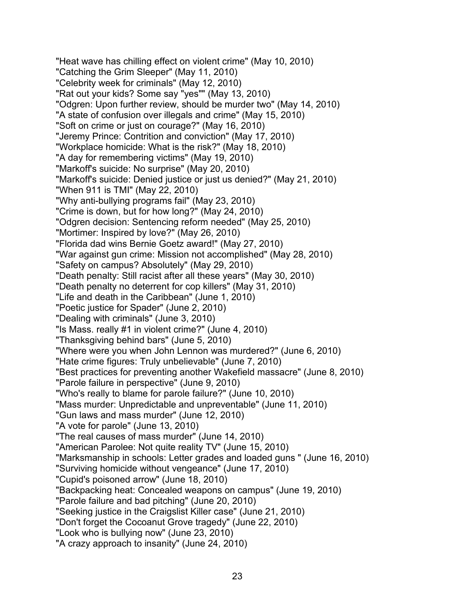"Heat wave has chilling effect on violent crime" (May 10, 2010) "Catching the Grim Sleeper" (May 11, 2010) "Celebrity week for criminals" (May 12, 2010) "Rat out your kids? Some say "yes"" (May 13, 2010) "Odgren: Upon further review, should be murder two" (May 14, 2010) "A state of confusion over illegals and crime" (May 15, 2010) "Soft on crime or just on courage?" (May 16, 2010) "Jeremy Prince: Contrition and conviction" (May 17, 2010) "Workplace homicide: What is the risk?" (May 18, 2010) "A day for remembering victims" (May 19, 2010) "Markoff's suicide: No surprise" (May 20, 2010) "Markoff's suicide: Denied justice or just us denied?" (May 21, 2010) "When 911 is TMI" (May 22, 2010) "Why anti-bullying programs fail" (May 23, 2010) "Crime is down, but for how long?" (May 24, 2010) "Odgren decision: Sentencing reform needed" (May 25, 2010) "Mortimer: Inspired by love?" (May 26, 2010) "Florida dad wins Bernie Goetz award!" (May 27, 2010) "War against gun crime: Mission not accomplished" (May 28, 2010) "Safety on campus? Absolutely" (May 29, 2010) "Death penalty: Still racist after all these years" (May 30, 2010) "Death penalty no deterrent for cop killers" (May 31, 2010) "Life and death in the Caribbean" (June 1, 2010) "Poetic justice for Spader" (June 2, 2010) "Dealing with criminals" (June 3, 2010) "Is Mass. really #1 in violent crime?" (June 4, 2010) "Thanksgiving behind bars" (June 5, 2010) "Where were you when John Lennon was murdered?" (June 6, 2010) "Hate crime figures: Truly unbelievable" (June 7, 2010) "Best practices for preventing another Wakefield massacre" (June 8, 2010) "Parole failure in perspective" (June 9, 2010) "Who's really to blame for parole failure?" (June 10, 2010) "Mass murder: Unpredictable and unpreventable" (June 11, 2010) "Gun laws and mass murder" (June 12, 2010) "A vote for parole" (June 13, 2010) "The real causes of mass murder" (June 14, 2010) "American Parolee: Not quite reality TV" (June 15, 2010) "Marksmanship in schools: Letter grades and loaded guns " (June 16, 2010) "Surviving homicide without vengeance" (June 17, 2010) "Cupid's poisoned arrow" (June 18, 2010) "Backpacking heat: Concealed weapons on campus" (June 19, 2010) "Parole failure and bad pitching" (June 20, 2010) "Seeking justice in the Craigslist Killer case" (June 21, 2010) "Don't forget the Cocoanut Grove tragedy" (June 22, 2010) "Look who is bullying now" (June 23, 2010) "A crazy approach to insanity" (June 24, 2010)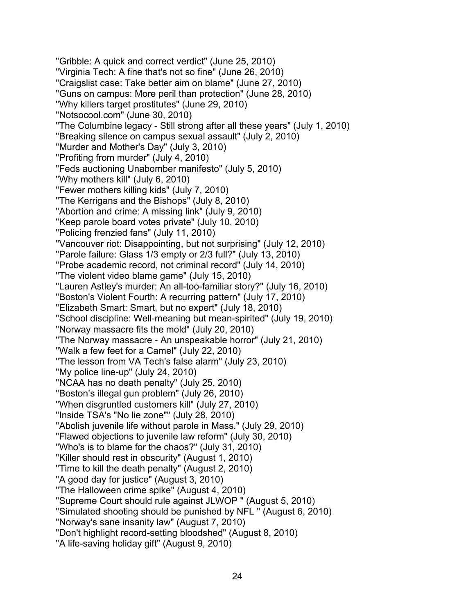"Gribble: A quick and correct verdict" (June 25, 2010) "Virginia Tech: A fine that's not so fine" (June 26, 2010) "Craigslist case: Take better aim on blame" (June 27, 2010) "Guns on campus: More peril than protection" (June 28, 2010) "Why killers target prostitutes" (June 29, 2010) "Notsocool.com" (June 30, 2010) "The Columbine legacy - Still strong after all these years" (July 1, 2010) "Breaking silence on campus sexual assault" (July 2, 2010) "Murder and Mother's Day" (July 3, 2010) "Profiting from murder" (July 4, 2010) "Feds auctioning Unabomber manifesto" (July 5, 2010) "Why mothers kill" (July 6, 2010) "Fewer mothers killing kids" (July 7, 2010) "The Kerrigans and the Bishops" (July 8, 2010) "Abortion and crime: A missing link" (July 9, 2010) "Keep parole board votes private" (July 10, 2010) "Policing frenzied fans" (July 11, 2010) "Vancouver riot: Disappointing, but not surprising" (July 12, 2010) "Parole failure: Glass 1/3 empty or 2/3 full?" (July 13, 2010) "Probe academic record, not criminal record" (July 14, 2010) "The violent video blame game" (July 15, 2010) "Lauren Astley's murder: An all-too-familiar story?" (July 16, 2010) "Boston's Violent Fourth: A recurring pattern" (July 17, 2010) "Elizabeth Smart: Smart, but no expert" (July 18, 2010) "School discipline: Well-meaning but mean-spirited" (July 19, 2010) "Norway massacre fits the mold" (July 20, 2010) "The Norway massacre - An unspeakable horror" (July 21, 2010) "Walk a few feet for a Camel" (July 22, 2010) "The lesson from VA Tech's false alarm" (July 23, 2010) "My police line-up" (July 24, 2010) "NCAA has no death penalty" (July 25, 2010) "Boston's illegal gun problem" (July 26, 2010) "When disgruntled customers kill" (July 27, 2010) "Inside TSA's "No lie zone"" (July 28, 2010) "Abolish juvenile life without parole in Mass." (July 29, 2010) "Flawed objections to juvenile law reform" (July 30, 2010) "Who's is to blame for the chaos?" (July 31, 2010) "Killer should rest in obscurity" (August 1, 2010) "Time to kill the death penalty" (August 2, 2010) "A good day for justice" (August 3, 2010) "The Halloween crime spike" (August 4, 2010) "Supreme Court should rule against JLWOP " (August 5, 2010) "Simulated shooting should be punished by NFL " (August 6, 2010) "Norway's sane insanity law" (August 7, 2010) "Don't highlight record-setting bloodshed" (August 8, 2010) "A life-saving holiday gift" (August 9, 2010)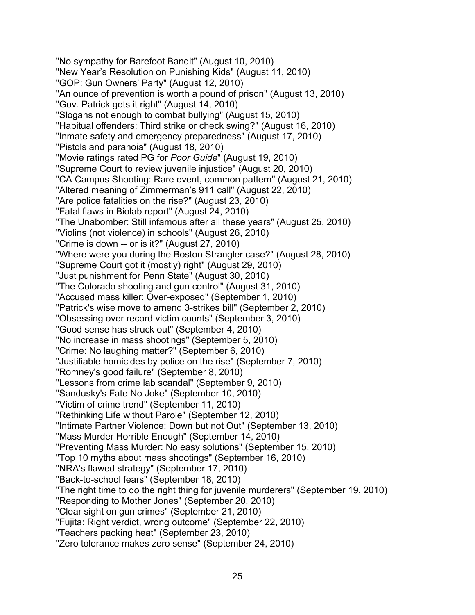"No sympathy for Barefoot Bandit" (August 10, 2010) "New Year's Resolution on Punishing Kids" (August 11, 2010) "GOP: Gun Owners' Party" (August 12, 2010) "An ounce of prevention is worth a pound of prison" (August 13, 2010) "Gov. Patrick gets it right" (August 14, 2010) "Slogans not enough to combat bullying" (August 15, 2010) "Habitual offenders: Third strike or check swing?" (August 16, 2010) "Inmate safety and emergency preparedness" (August 17, 2010) "Pistols and paranoia" (August 18, 2010) "Movie ratings rated PG for *Poor Guide*" (August 19, 2010) "Supreme Court to review juvenile injustice" (August 20, 2010) "CA Campus Shooting: Rare event, common pattern" (August 21, 2010) "Altered meaning of Zimmerman's 911 call" (August 22, 2010) "Are police fatalities on the rise?" (August 23, 2010) "Fatal flaws in Biolab report" (August 24, 2010) "The Unabomber: Still infamous after all these years" (August 25, 2010) "Violins (not violence) in schools" (August 26, 2010) "Crime is down -- or is it?" (August 27, 2010) "Where were you during the Boston Strangler case?" (August 28, 2010) "Supreme Court got it (mostly) right" (August 29, 2010) "Just punishment for Penn State" (August 30, 2010) "The Colorado shooting and gun control" (August 31, 2010) "Accused mass killer: Over-exposed" (September 1, 2010) "Patrick's wise move to amend 3-strikes bill" (September 2, 2010) "Obsessing over record victim counts" (September 3, 2010) "Good sense has struck out" (September 4, 2010) "No increase in mass shootings" (September 5, 2010) "Crime: No laughing matter?" (September 6, 2010) "Justifiable homicides by police on the rise" (September 7, 2010) "Romney's good failure" (September 8, 2010) "Lessons from crime lab scandal" (September 9, 2010) "Sandusky's Fate No Joke" (September 10, 2010) "Victim of crime trend" (September 11, 2010) "Rethinking Life without Parole" (September 12, 2010) "Intimate Partner Violence: Down but not Out" (September 13, 2010) "Mass Murder Horrible Enough" (September 14, 2010) "Preventing Mass Murder: No easy solutions" (September 15, 2010) "Top 10 myths about mass shootings" (September 16, 2010) "NRA's flawed strategy" (September 17, 2010) "Back-to-school fears" (September 18, 2010) "The right time to do the right thing for juvenile murderers" (September 19, 2010) "Responding to Mother Jones" (September 20, 2010) "Clear sight on gun crimes" (September 21, 2010) "Fujita: Right verdict, wrong outcome" (September 22, 2010) "Teachers packing heat" (September 23, 2010) "Zero tolerance makes zero sense" (September 24, 2010)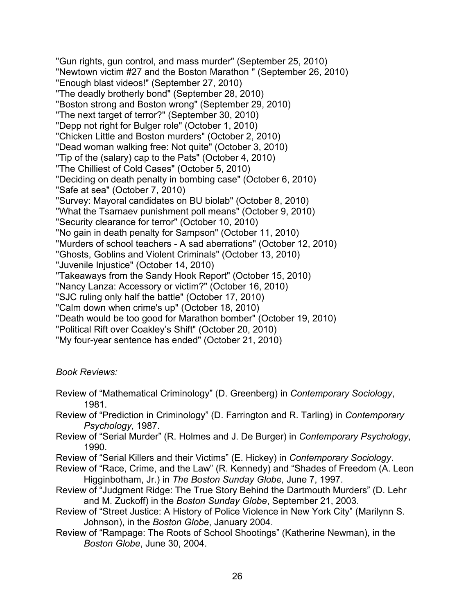"Gun rights, gun control, and mass murder" (September 25, 2010) "Newtown victim #27 and the Boston Marathon " (September 26, 2010) "Enough blast videos!" (September 27, 2010) "The deadly brotherly bond" (September 28, 2010) "Boston strong and Boston wrong" (September 29, 2010) "The next target of terror?" (September 30, 2010) "Depp not right for Bulger role" (October 1, 2010) "Chicken Little and Boston murders" (October 2, 2010) "Dead woman walking free: Not quite" (October 3, 2010) "Tip of the (salary) cap to the Pats" (October 4, 2010) "The Chilliest of Cold Cases" (October 5, 2010) "Deciding on death penalty in bombing case" (October 6, 2010) "Safe at sea" (October 7, 2010) "Survey: Mayoral candidates on BU biolab" (October 8, 2010) "What the Tsarnaev punishment poll means" (October 9, 2010) "Security clearance for terror" (October 10, 2010) "No gain in death penalty for Sampson" (October 11, 2010) "Murders of school teachers - A sad aberrations" (October 12, 2010) "Ghosts, Goblins and Violent Criminals" (October 13, 2010) "Juvenile Injustice" (October 14, 2010) "Takeaways from the Sandy Hook Report" (October 15, 2010) "Nancy Lanza: Accessory or victim?" (October 16, 2010) "SJC ruling only half the battle" (October 17, 2010) "Calm down when crime's up" (October 18, 2010) "Death would be too good for Marathon bomber" (October 19, 2010) "Political Rift over Coakley's Shift" (October 20, 2010) "My four-year sentence has ended" (October 21, 2010)

### *Book Reviews:*

- Review of "Mathematical Criminology" (D. Greenberg) in *Contemporary Sociology*, 1981.
- Review of "Prediction in Criminology" (D. Farrington and R. Tarling) in *Contemporary Psychology*, 1987.
- Review of "Serial Murder" (R. Holmes and J. De Burger) in *Contemporary Psychology*, 1990.
- Review of "Serial Killers and their Victims" (E. Hickey) in *Contemporary Sociology*.
- Review of "Race, Crime, and the Law" (R. Kennedy) and "Shades of Freedom (A. Leon Higginbotham, Jr.) in *The Boston Sunday Globe,* June 7, 1997.
- Review of "Judgment Ridge: The True Story Behind the Dartmouth Murders" (D. Lehr and M. Zuckoff) in the *Boston Sunday Globe*, September 21, 2003.
- Review of "Street Justice: A History of Police Violence in New York City" (Marilynn S. Johnson), in the *Boston Globe*, January 2004.
- Review of "Rampage: The Roots of School Shootings" (Katherine Newman), in the *Boston Globe*, June 30, 2004.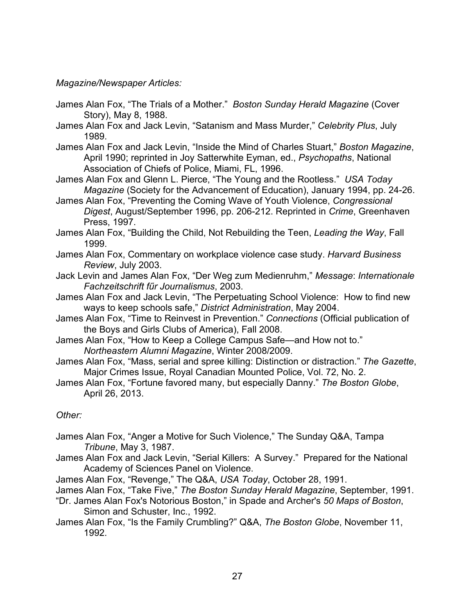### *Magazine/Newspaper Articles:*

- James Alan Fox, "The Trials of a Mother." *Boston Sunday Herald Magazine* (Cover Story), May 8, 1988.
- James Alan Fox and Jack Levin, "Satanism and Mass Murder," *Celebrity Plus*, July 1989.
- James Alan Fox and Jack Levin, "Inside the Mind of Charles Stuart," *Boston Magazine*, April 1990; reprinted in Joy Satterwhite Eyman, ed., *Psychopaths*, National Association of Chiefs of Police, Miami, FL, 1996.
- James Alan Fox and Glenn L. Pierce, "The Young and the Rootless." *USA Today Magazine* (Society for the Advancement of Education), January 1994, pp. 24-26.
- James Alan Fox, "Preventing the Coming Wave of Youth Violence, *Congressional Digest*, August/September 1996, pp. 206-212. Reprinted in *Crime*, Greenhaven Press, 1997.
- James Alan Fox, "Building the Child, Not Rebuilding the Teen, *Leading the Way*, Fall 1999.
- James Alan Fox, Commentary on workplace violence case study. *Harvard Business Review*, July 2003.
- Jack Levin and James Alan Fox, "Der Weg zum Medienruhm," *Message*: *Internationale Fachzeitschrift fűr Journalismus*, 2003.
- James Alan Fox and Jack Levin, "The Perpetuating School Violence: How to find new ways to keep schools safe," *District Administration*, May 2004.
- James Alan Fox, "Time to Reinvest in Prevention." *Connections* (Official publication of the Boys and Girls Clubs of America), Fall 2008.
- James Alan Fox, "How to Keep a College Campus Safe—and How not to." *Northeastern Alumni Magazine*, Winter 2008/2009.
- James Alan Fox, "Mass, serial and spree killing: Distinction or distraction." *The Gazette*, Major Crimes Issue, Royal Canadian Mounted Police, Vol. 72, No. 2.
- James Alan Fox, "Fortune favored many, but especially Danny." *The Boston Globe*, April 26, 2013.

## *Other:*

- James Alan Fox, "Anger a Motive for Such Violence," The Sunday Q&A, Tampa *Tribune*, May 3, 1987.
- James Alan Fox and Jack Levin, "Serial Killers: A Survey." Prepared for the National Academy of Sciences Panel on Violence.
- James Alan Fox, "Revenge," The Q&A, *USA Today*, October 28, 1991.
- James Alan Fox, "Take Five," *The Boston Sunday Herald Magazine*, September, 1991.
- "Dr. James Alan Fox's Notorious Boston," in Spade and Archer's *50 Maps of Boston*, Simon and Schuster, Inc., 1992.
- James Alan Fox, "Is the Family Crumbling?" Q&A, *The Boston Globe*, November 11, 1992.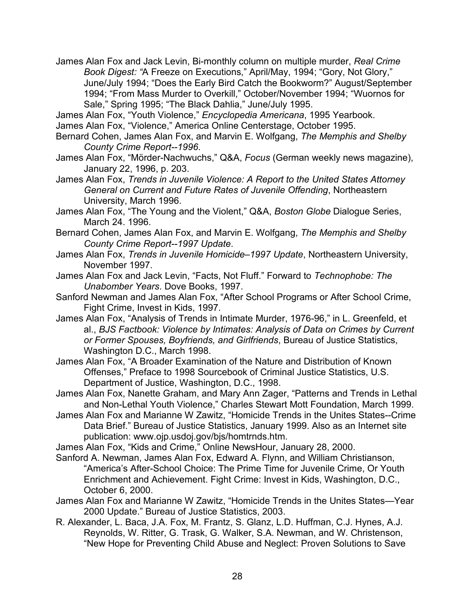James Alan Fox and Jack Levin, Bi-monthly column on multiple murder, *Real Crime Book Digest: "*A Freeze on Executions," April/May, 1994; "Gory, Not Glory," June/July 1994; "Does the Early Bird Catch the Bookworm?" August/September 1994; "From Mass Murder to Overkill," October/November 1994; "Wuornos for Sale," Spring 1995; "The Black Dahlia," June/July 1995.

James Alan Fox, "Youth Violence," *Encyclopedia Americana*, 1995 Yearbook.

- James Alan Fox, "Violence," America Online Centerstage, October 1995.
- Bernard Cohen, James Alan Fox, and Marvin E. Wolfgang, *The Memphis and Shelby County Crime Report--1996*.
- James Alan Fox, "Mörder-Nachwuchs," Q&A, *Focus* (German weekly news magazine), January 22, 1996, p. 203.
- James Alan Fox, *Trends in Juvenile Violence: A Report to the United States Attorney General on Current and Future Rates of Juvenile Offending*, Northeastern University, March 1996.

James Alan Fox, "The Young and the Violent," Q&A, *Boston Globe* Dialogue Series, March 24. 1996.

- Bernard Cohen, James Alan Fox, and Marvin E. Wolfgang, *The Memphis and Shelby County Crime Report--1997 Update*.
- James Alan Fox, *Trends in Juvenile Homicide–1997 Update*, Northeastern University, November 1997.
- James Alan Fox and Jack Levin, "Facts, Not Fluff." Forward to *Technophobe: The Unabomber Years*. Dove Books, 1997.
- Sanford Newman and James Alan Fox, "After School Programs or After School Crime, Fight Crime, Invest in Kids, 1997.
- James Alan Fox, "Analysis of Trends in Intimate Murder, 1976-96," in L. Greenfeld, et al., *BJS Factbook: Violence by Intimates: Analysis of Data on Crimes by Current or Former Spouses, Boyfriends, and Girlfriends*, Bureau of Justice Statistics, Washington D.C., March 1998.
- James Alan Fox, "A Broader Examination of the Nature and Distribution of Known Offenses," Preface to 1998 Sourcebook of Criminal Justice Statistics, U.S. Department of Justice, Washington, D.C., 1998.
- James Alan Fox, Nanette Graham, and Mary Ann Zager, "Patterns and Trends in Lethal and Non-Lethal Youth Violence," Charles Stewart Mott Foundation, March 1999.
- James Alan Fox and Marianne W Zawitz, "Homicide Trends in the Unites States--Crime Data Brief." Bureau of Justice Statistics, January 1999. Also as an Internet site publication: www.ojp.usdoj.gov/bjs/homtrnds.htm.
- James Alan Fox, "Kids and Crime," Online NewsHour, January 28, 2000.
- Sanford A. Newman, James Alan Fox, Edward A. Flynn, and William Christianson, "America's After-School Choice: The Prime Time for Juvenile Crime, Or Youth Enrichment and Achievement. Fight Crime: Invest in Kids, Washington, D.C., October 6, 2000.
- James Alan Fox and Marianne W Zawitz, "Homicide Trends in the Unites States—Year 2000 Update." Bureau of Justice Statistics, 2003.
- R. Alexander, L. Baca, J.A. Fox, M. Frantz, S. Glanz, L.D. Huffman, C.J. Hynes, A.J. Reynolds, W. Ritter, G. Trask, G. Walker, S.A. Newman, and W. Christenson, "New Hope for Preventing Child Abuse and Neglect: Proven Solutions to Save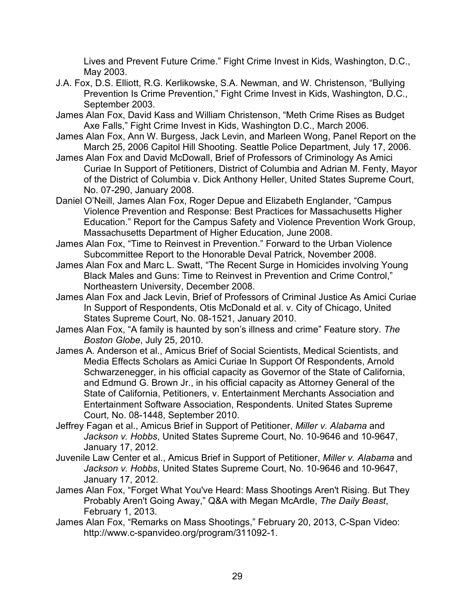Lives and Prevent Future Crime." Fight Crime Invest in Kids, Washington, D.C., May 2003.

- J.A. Fox, D.S. Elliott, R.G. Kerlikowske, S.A. Newman, and W. Christenson, "Bullying Prevention Is Crime Prevention," Fight Crime Invest in Kids, Washington, D.C., September 2003.
- James Alan Fox, David Kass and William Christenson, "Meth Crime Rises as Budget Axe Falls," Fight Crime Invest in Kids, Washington D.C., March 2006.
- James Alan Fox, Ann W. Burgess, Jack Levin, and Marleen Wong, Panel Report on the March 25, 2006 Capitol Hill Shooting. Seattle Police Department, July 17, 2006.
- James Alan Fox and David McDowall, Brief of Professors of Criminology As Amici Curiae In Support of Petitioners, District of Columbia and Adrian M. Fenty, Mayor of the District of Columbia v. Dick Anthony Heller, United States Supreme Court, No. 07-290, January 2008.
- Daniel O'Neill, James Alan Fox, Roger Depue and Elizabeth Englander, "Campus Violence Prevention and Response: Best Practices for Massachusetts Higher Education." Report for the Campus Safety and Violence Prevention Work Group, Massachusetts Department of Higher Education, June 2008.
- James Alan Fox, "Time to Reinvest in Prevention." Forward to the Urban Violence Subcommittee Report to the Honorable Deval Patrick, November 2008.
- James Alan Fox and Marc L. Swatt, "The Recent Surge in Homicides involving Young Black Males and Guns: Time to Reinvest in Prevention and Crime Control," Northeastern University, December 2008.
- James Alan Fox and Jack Levin, Brief of Professors of Criminal Justice As Amici Curiae In Support of Respondents, Otis McDonald et al. v. City of Chicago, United States Supreme Court, No. 08-1521, January 2010.
- James Alan Fox, "A family is haunted by son's illness and crime" Feature story. *The Boston Globe*, July 25, 2010.
- James A. Anderson et al., Amicus Brief of Social Scientists, Medical Scientists, and Media Effects Scholars as Amici Curiae In Support Of Respondents, Arnold Schwarzenegger, in his official capacity as Governor of the State of California, and Edmund G. Brown Jr., in his official capacity as Attorney General of the State of California, Petitioners, v. Entertainment Merchants Association and Entertainment Software Association, Respondents. United States Supreme Court, No. 08-1448, September 2010.
- Jeffrey Fagan et al., Amicus Brief in Support of Petitioner, *Miller v. Alabama* and *Jackson v. Hobbs*, United States Supreme Court, No. 10-9646 and 10-9647, January 17, 2012.
- Juvenile Law Center et al., Amicus Brief in Support of Petitioner, *Miller v. Alabama* and *Jackson v. Hobbs*, United States Supreme Court, No. 10-9646 and 10-9647, January 17, 2012.
- James Alan Fox, "Forget What You've Heard: Mass Shootings Aren't Rising. But They Probably Aren't Going Away," Q&A with Megan McArdle, *The Daily Beast*, February 1, 2013.
- James Alan Fox, "Remarks on Mass Shootings," February 20, 2013, C-Span Video: http://www.c-spanvideo.org/program/311092-1.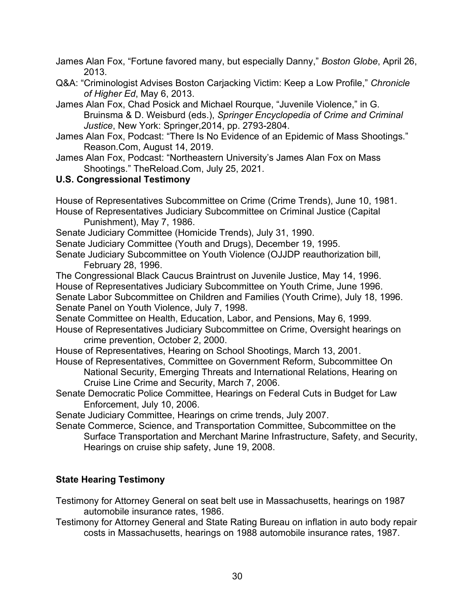- James Alan Fox, "Fortune favored many, but especially Danny," *Boston Globe*, April 26, 2013.
- Q&A: "Criminologist Advises Boston Carjacking Victim: Keep a Low Profile," *Chronicle of Higher Ed*, May 6, 2013.
- James Alan Fox, Chad Posick and Michael Rourque, "Juvenile Violence," in G. Bruinsma & D. Weisburd (eds.), *Springer Encyclopedia of Crime and Criminal Justice*, New York: Springer,2014, pp. 2793-2804.
- James Alan Fox, Podcast: "There Is No Evidence of an Epidemic of Mass Shootings." Reason.Com, August 14, 2019.
- James Alan Fox, Podcast: "Northeastern University's James Alan Fox on Mass Shootings." TheReload.Com, July 25, 2021.

# **U.S. Congressional Testimony**

House of Representatives Subcommittee on Crime (Crime Trends), June 10, 1981. House of Representatives Judiciary Subcommittee on Criminal Justice (Capital

Punishment), May 7, 1986.

Senate Judiciary Committee (Homicide Trends), July 31, 1990.

Senate Judiciary Committee (Youth and Drugs), December 19, 1995.

Senate Judiciary Subcommittee on Youth Violence (OJJDP reauthorization bill, February 28, 1996.

The Congressional Black Caucus Braintrust on Juvenile Justice, May 14, 1996. House of Representatives Judiciary Subcommittee on Youth Crime, June 1996. Senate Labor Subcommittee on Children and Families (Youth Crime), July 18, 1996. Senate Panel on Youth Violence, July 7, 1998.

Senate Committee on Health, Education, Labor, and Pensions, May 6, 1999. House of Representatives Judiciary Subcommittee on Crime, Oversight hearings on crime prevention, October 2, 2000.

House of Representatives, Hearing on School Shootings, March 13, 2001.

House of Representatives, Committee on Government Reform, Subcommittee On

National Security, Emerging Threats and International Relations, Hearing on Cruise Line Crime and Security, March 7, 2006.

Senate Democratic Police Committee, Hearings on Federal Cuts in Budget for Law Enforcement, July 10, 2006.

Senate Judiciary Committee, Hearings on crime trends, July 2007.

Senate Commerce, Science, and Transportation Committee, Subcommittee on the Surface Transportation and Merchant Marine Infrastructure, Safety, and Security, Hearings on cruise ship safety, June 19, 2008.

# **State Hearing Testimony**

Testimony for Attorney General on seat belt use in Massachusetts, hearings on 1987 automobile insurance rates, 1986.

Testimony for Attorney General and State Rating Bureau on inflation in auto body repair costs in Massachusetts, hearings on 1988 automobile insurance rates, 1987.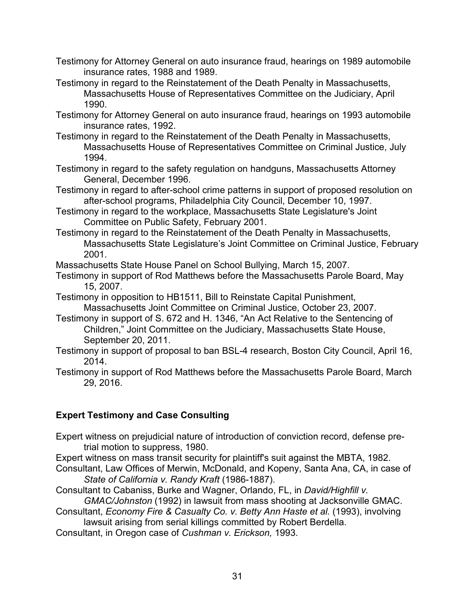- Testimony for Attorney General on auto insurance fraud, hearings on 1989 automobile insurance rates, 1988 and 1989.
- Testimony in regard to the Reinstatement of the Death Penalty in Massachusetts, Massachusetts House of Representatives Committee on the Judiciary, April 1990.
- Testimony for Attorney General on auto insurance fraud, hearings on 1993 automobile insurance rates, 1992.
- Testimony in regard to the Reinstatement of the Death Penalty in Massachusetts, Massachusetts House of Representatives Committee on Criminal Justice, July 1994.
- Testimony in regard to the safety regulation on handguns, Massachusetts Attorney General, December 1996.
- Testimony in regard to after-school crime patterns in support of proposed resolution on after-school programs, Philadelphia City Council, December 10, 1997.
- Testimony in regard to the workplace, Massachusetts State Legislature's Joint Committee on Public Safety, February 2001.
- Testimony in regard to the Reinstatement of the Death Penalty in Massachusetts, Massachusetts State Legislature's Joint Committee on Criminal Justice, February 2001.
- Massachusetts State House Panel on School Bullying, March 15, 2007.
- Testimony in support of Rod Matthews before the Massachusetts Parole Board, May 15, 2007.
- Testimony in opposition to HB1511, Bill to Reinstate Capital Punishment, Massachusetts Joint Committee on Criminal Justice, October 23, 2007.
- Testimony in support of S. 672 and H. 1346, "An Act Relative to the Sentencing of Children," Joint Committee on the Judiciary, Massachusetts State House, September 20, 2011.
- Testimony in support of proposal to ban BSL-4 research, Boston City Council, April 16, 2014.
- Testimony in support of Rod Matthews before the Massachusetts Parole Board, March 29, 2016.

# **Expert Testimony and Case Consulting**

- Expert witness on prejudicial nature of introduction of conviction record, defense pretrial motion to suppress, 1980.
- Expert witness on mass transit security for plaintiff's suit against the MBTA, 1982.
- Consultant, Law Offices of Merwin, McDonald, and Kopeny, Santa Ana, CA, in case of *State of California v. Randy Kraft* (1986-1887).
- Consultant to Cabaniss, Burke and Wagner, Orlando, FL, in *David/Highfill v. GMAC/Johnston* (1992) in lawsuit from mass shooting at Jacksonville GMAC.
- Consultant, *Economy Fire & Casualty Co. v. Betty Ann Haste et al.* (1993), involving lawsuit arising from serial killings committed by Robert Berdella.
- Consultant, in Oregon case of *Cushman v. Erickson,* 1993.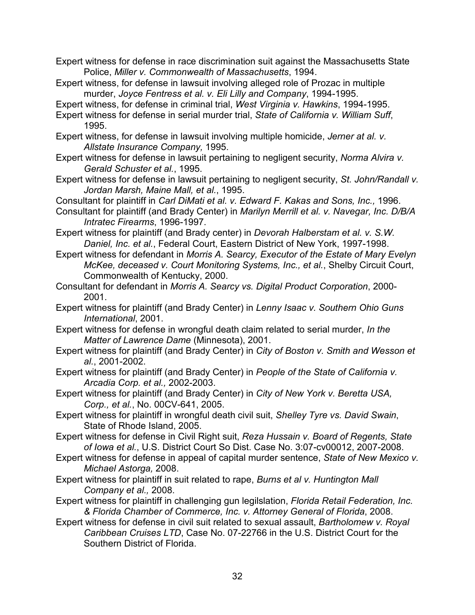Expert witness for defense in race discrimination suit against the Massachusetts State Police, *Miller v. Commonwealth of Massachusetts*, 1994.

- Expert witness, for defense in lawsuit involving alleged role of Prozac in multiple murder, *Joyce Fentress et al. v. Eli Lilly and Company*, 1994-1995.
- Expert witness, for defense in criminal trial, *West Virginia v. Hawkins*, 1994-1995.
- Expert witness for defense in serial murder trial, *State of California v. William Suff*, 1995.
- Expert witness, for defense in lawsuit involving multiple homicide, *Jerner at al. v. Allstate Insurance Company,* 1995.
- Expert witness for defense in lawsuit pertaining to negligent security, *Norma Alvira v. Gerald Schuster et al.*, 1995.
- Expert witness for defense in lawsuit pertaining to negligent security, *St. John/Randall v. Jordan Marsh, Maine Mall, et al.*, 1995.
- Consultant for plaintiff in *Carl DiMati et al. v. Edward F. Kakas and Sons, Inc.,* 1996.
- Consultant for plaintiff (and Brady Center) in *Marilyn Merrill et al. v. Navegar, Inc. D/B/A Intratec Firearms*, 1996-1997.
- Expert witness for plaintiff (and Brady center) in *Devorah Halberstam et al. v. S.W. Daniel, Inc. et al.*, Federal Court, Eastern District of New York, 1997-1998.
- Expert witness for defendant in *Morris A. Searcy, Executor of the Estate of Mary Evelyn McKee, deceased v. Court Monitoring Systems, Inc., et al.*, Shelby Circuit Court, Commonwealth of Kentucky, 2000.
- Consultant for defendant in *Morris A. Searcy vs. Digital Product Corporation*, 2000- 2001.
- Expert witness for plaintiff (and Brady Center) in *Lenny Isaac v. Southern Ohio Guns International*, 2001.
- Expert witness for defense in wrongful death claim related to serial murder, *In the Matter of Lawrence Dame* (Minnesota), 2001.
- Expert witness for plaintiff (and Brady Center) in *City of Boston v. Smith and Wesson et al.*, 2001-2002.
- Expert witness for plaintiff (and Brady Center) in *People of the State of California v. Arcadia Corp. et al.,* 2002-2003.
- Expert witness for plaintiff (and Brady Center) in *City of New York v. Beretta USA, Corp., et al.*, No. 00CV-641, 2005.
- Expert witness for plaintiff in wrongful death civil suit, *Shelley Tyre vs. David Swain*, State of Rhode Island, 2005.
- Expert witness for defense in Civil Right suit, *Reza Hussain v. Board of Regents, State of Iowa et al.*, U.S. District Court So Dist. Case No. 3:07-cv00012, 2007-2008.
- Expert witness for defense in appeal of capital murder sentence, *State of New Mexico v. Michael Astorga,* 2008.
- Expert witness for plaintiff in suit related to rape, *Burns et al v. Huntington Mall Company et al.,* 2008.
- Expert witness for plaintiff in challenging gun legilslation, *Florida Retail Federation, Inc. & Florida Chamber of Commerce, Inc. v. Attorney General of Florida*, 2008.
- Expert witness for defense in civil suit related to sexual assault, *Bartholomew v. Royal Caribbean Cruises LTD*, Case No. 07-22766 in the U.S. District Court for the Southern District of Florida.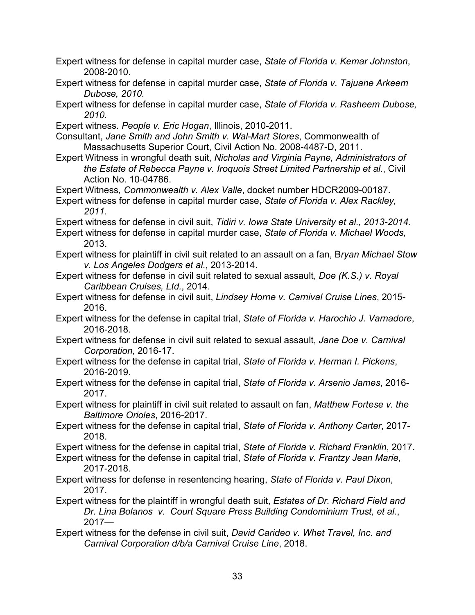- Expert witness for defense in capital murder case, *State of Florida v. Kemar Johnston*, 2008-2010.
- Expert witness for defense in capital murder case, *State of Florida v. Tajuane Arkeem Dubose, 2010.*
- Expert witness for defense in capital murder case, *State of Florida v. Rasheem Dubose, 2010.*
- Expert witness*. People v. Eric Hogan*, Illinois, 2010-2011.
- Consultant, *Jane Smith and John Smith v. Wal-Mart Stores*, Commonwealth of Massachusetts Superior Court, Civil Action No. 2008-4487-D, 2011.
- Expert Witness in wrongful death suit, *Nicholas and Virginia Payne, Administrators of the Estate of Rebecca Payne v. Iroquois Street Limited Partnership et al*., Civil Action No. 10-04786.
- Expert Witness*, Commonwealth v. Alex Valle*, docket number HDCR2009-00187.
- Expert witness for defense in capital murder case, *State of Florida v. Alex Rackley, 2011.*
- Expert witness for defense in civil suit, *Tidiri v. Iowa State University et al., 2013-2014.*
- Expert witness for defense in capital murder case, *State of Florida v. Michael Woods,*  2013.
- Expert witness for plaintiff in civil suit related to an assault on a fan, B*ryan Michael Stow v. Los Angeles Dodgers et al.*, 2013-2014.
- Expert witness for defense in civil suit related to sexual assault, *Doe (K.S.) v. Royal Caribbean Cruises, Ltd.*, 2014.
- Expert witness for defense in civil suit, *Lindsey Horne v. Carnival Cruise Lines*, 2015- 2016.
- Expert witness for the defense in capital trial, *State of Florida v. Harochio J. Varnadore*, 2016-2018.
- Expert witness for defense in civil suit related to sexual assault, *Jane Doe v. Carnival Corporation*, 2016-17.
- Expert witness for the defense in capital trial, *State of Florida v. Herman I. Pickens*, 2016-2019.
- Expert witness for the defense in capital trial, *State of Florida v. Arsenio James*, 2016- 2017.
- Expert witness for plaintiff in civil suit related to assault on fan, *Matthew Fortese v. the Baltimore Orioles*, 2016-2017.
- Expert witness for the defense in capital trial, *State of Florida v. Anthony Carter*, 2017- 2018.
- Expert witness for the defense in capital trial, *State of Florida v. Richard Franklin*, 2017.
- Expert witness for the defense in capital trial, *State of Florida v. Frantzy Jean Marie*, 2017-2018.
- Expert witness for defense in resentencing hearing, *State of Florida v. Paul Dixon*, 2017.
- Expert witness for the plaintiff in wrongful death suit, *Estates of Dr. Richard Field and Dr. Lina Bolanos v. Court Square Press Building Condominium Trust, et al.*, 2017—
- Expert witness for the defense in civil suit, *David Carideo v. Whet Travel, Inc. and Carnival Corporation d/b/a Carnival Cruise Line*, 2018.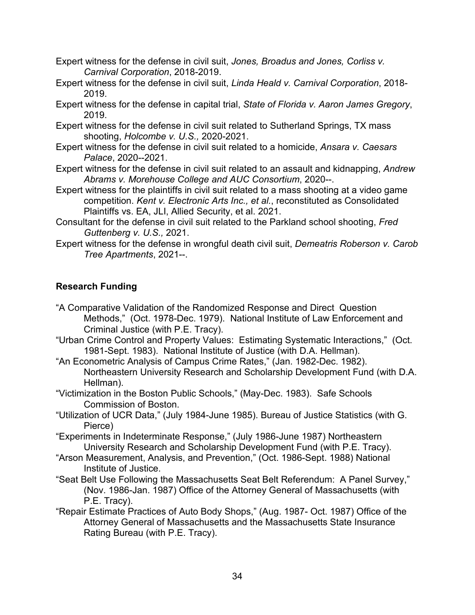- Expert witness for the defense in civil suit, *Jones, Broadus and Jones, Corliss v. Carnival Corporation*, 2018-2019.
- Expert witness for the defense in civil suit, *Linda Heald v. Carnival Corporation*, 2018- 2019.
- Expert witness for the defense in capital trial, *State of Florida v. Aaron James Gregory*, 2019.
- Expert witness for the defense in civil suit related to Sutherland Springs, TX mass shooting, *Holcombe v. U.S.,* 2020-2021.
- Expert witness for the defense in civil suit related to a homicide, *Ansara v. Caesars Palace*, 2020--2021.
- Expert witness for the defense in civil suit related to an assault and kidnapping, *Andrew Abrams v. Morehouse College and AUC Consortium*, 2020--.
- Expert witness for the plaintiffs in civil suit related to a mass shooting at a video game competition. *Kent v. Electronic Arts Inc., et al.*, reconstituted as Consolidated Plaintiffs vs. EA, JLI, Allied Security, et al. 2021.
- Consultant for the defense in civil suit related to the Parkland school shooting, *Fred Guttenberg v. U.S.,* 2021.
- Expert witness for the defense in wrongful death civil suit, *Demeatris Roberson v. Carob Tree Apartments*, 2021--.

# **Research Funding**

- "A Comparative Validation of the Randomized Response and Direct Question Methods," (Oct. 1978-Dec. 1979). National Institute of Law Enforcement and Criminal Justice (with P.E. Tracy).
- "Urban Crime Control and Property Values: Estimating Systematic Interactions," (Oct. 1981-Sept. 1983). National Institute of Justice (with D.A. Hellman).
- "An Econometric Analysis of Campus Crime Rates," (Jan. 1982-Dec. 1982). Northeastern University Research and Scholarship Development Fund (with D.A. Hellman).
- "Victimization in the Boston Public Schools," (May-Dec. 1983). Safe Schools Commission of Boston.
- "Utilization of UCR Data," (July 1984-June 1985). Bureau of Justice Statistics (with G. Pierce)
- "Experiments in Indeterminate Response," (July 1986-June 1987) Northeastern University Research and Scholarship Development Fund (with P.E. Tracy).
- "Arson Measurement, Analysis, and Prevention," (Oct. 1986-Sept. 1988) National Institute of Justice.
- "Seat Belt Use Following the Massachusetts Seat Belt Referendum: A Panel Survey," (Nov. 1986-Jan. 1987) Office of the Attorney General of Massachusetts (with P.E. Tracy).
- "Repair Estimate Practices of Auto Body Shops," (Aug. 1987- Oct. 1987) Office of the Attorney General of Massachusetts and the Massachusetts State Insurance Rating Bureau (with P.E. Tracy).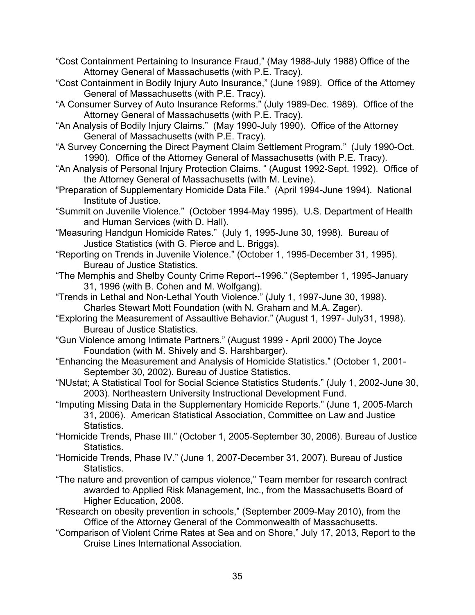"Cost Containment Pertaining to Insurance Fraud," (May 1988-July 1988) Office of the Attorney General of Massachusetts (with P.E. Tracy).

- "Cost Containment in Bodily Injury Auto Insurance," (June 1989). Office of the Attorney General of Massachusetts (with P.E. Tracy).
- "A Consumer Survey of Auto Insurance Reforms." (July 1989-Dec. 1989). Office of the Attorney General of Massachusetts (with P.E. Tracy).
- "An Analysis of Bodily Injury Claims." (May 1990-July 1990). Office of the Attorney General of Massachusetts (with P.E. Tracy).
- "A Survey Concerning the Direct Payment Claim Settlement Program." (July 1990-Oct. 1990). Office of the Attorney General of Massachusetts (with P.E. Tracy).
- "An Analysis of Personal Injury Protection Claims. " (August 1992-Sept. 1992). Office of the Attorney General of Massachusetts (with M. Levine).
- "Preparation of Supplementary Homicide Data File." (April 1994-June 1994). National Institute of Justice.
- "Summit on Juvenile Violence." (October 1994-May 1995). U.S. Department of Health and Human Services (with D. Hall).
- "Measuring Handgun Homicide Rates." (July 1, 1995-June 30, 1998). Bureau of Justice Statistics (with G. Pierce and L. Briggs).
- "Reporting on Trends in Juvenile Violence." (October 1, 1995-December 31, 1995). Bureau of Justice Statistics.
- "The Memphis and Shelby County Crime Report--1996." (September 1, 1995-January 31, 1996 (with B. Cohen and M. Wolfgang).
- "Trends in Lethal and Non-Lethal Youth Violence." (July 1, 1997-June 30, 1998). Charles Stewart Mott Foundation (with N. Graham and M.A. Zager).
- "Exploring the Measurement of Assaultive Behavior." (August 1, 1997- July31, 1998). Bureau of Justice Statistics.
- "Gun Violence among Intimate Partners." (August 1999 April 2000) The Joyce Foundation (with M. Shively and S. Harshbarger).
- "Enhancing the Measurement and Analysis of Homicide Statistics." (October 1, 2001- September 30, 2002). Bureau of Justice Statistics.
- "NUstat; A Statistical Tool for Social Science Statistics Students." (July 1, 2002-June 30, 2003). Northeastern University Instructional Development Fund.
- "Imputing Missing Data in the Supplementary Homicide Reports." (June 1, 2005-March 31, 2006). American Statistical Association, Committee on Law and Justice Statistics.
- "Homicide Trends, Phase III." (October 1, 2005-September 30, 2006). Bureau of Justice Statistics.
- "Homicide Trends, Phase IV." (June 1, 2007-December 31, 2007). Bureau of Justice Statistics.
- "The nature and prevention of campus violence," Team member for research contract awarded to Applied Risk Management, Inc., from the Massachusetts Board of Higher Education, 2008.
- "Research on obesity prevention in schools," (September 2009-May 2010), from the Office of the Attorney General of the Commonwealth of Massachusetts.
- "Comparison of Violent Crime Rates at Sea and on Shore," July 17, 2013, Report to the Cruise Lines International Association.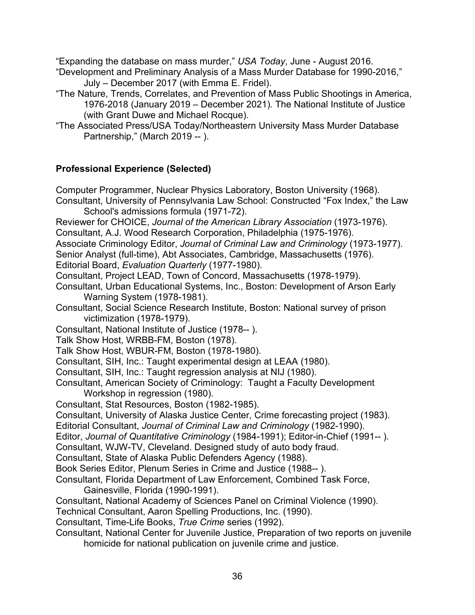"Expanding the database on mass murder," *USA Today*, June - August 2016.

"Development and Preliminary Analysis of a Mass Murder Database for 1990-2016," July – December 2017 (with Emma E. Fridel).

"The Nature, Trends, Correlates, and Prevention of Mass Public Shootings in America, 1976-2018 (January 2019 – December 2021). The National Institute of Justice (with Grant Duwe and Michael Rocque).

"The Associated Press/USA Today/Northeastern University Mass Murder Database Partnership," (March 2019 -- ).

# **Professional Experience (Selected)**

Computer Programmer, Nuclear Physics Laboratory, Boston University (1968). Consultant, University of Pennsylvania Law School: Constructed "Fox Index," the Law School's admissions formula (1971-72). Reviewer for CHOICE, *Journal of the American Library Association* (1973-1976).

Consultant, A.J. Wood Research Corporation, Philadelphia (1975-1976).

Associate Criminology Editor, *Journal of Criminal Law and Criminology* (1973-1977).

Senior Analyst (full-time), Abt Associates, Cambridge, Massachusetts (1976).

Editorial Board, *Evaluation Quarterly* (1977-1980).

Consultant, Project LEAD, Town of Concord, Massachusetts (1978-1979).

- Consultant, Urban Educational Systems, Inc., Boston: Development of Arson Early Warning System (1978-1981).
- Consultant, Social Science Research Institute, Boston: National survey of prison victimization (1978-1979).

Consultant, National Institute of Justice (1978-- ).

- Talk Show Host, WRBB-FM, Boston (1978).
- Talk Show Host, WBUR-FM, Boston (1978-1980).
- Consultant, SIH, Inc.: Taught experimental design at LEAA (1980).
- Consultant, SIH, Inc.: Taught regression analysis at NIJ (1980).
- Consultant, American Society of Criminology: Taught a Faculty Development Workshop in regression (1980).
- Consultant, Stat Resources, Boston (1982-1985).
- Consultant, University of Alaska Justice Center, Crime forecasting project (1983).
- Editorial Consultant, *Journal of Criminal Law and Criminology* (1982-1990).

Editor, *Journal of Quantitative Criminology* (1984-1991); Editor-in-Chief (1991-- ).

Consultant, WJW-TV, Cleveland. Designed study of auto body fraud.

Consultant, State of Alaska Public Defenders Agency (1988).

Book Series Editor, Plenum Series in Crime and Justice (1988-- ).

- Consultant, Florida Department of Law Enforcement, Combined Task Force, Gainesville, Florida (1990-1991).
- Consultant, National Academy of Sciences Panel on Criminal Violence (1990).

Technical Consultant, Aaron Spelling Productions, Inc. (1990).

Consultant, Time-Life Books, *True Crime* series (1992).

Consultant, National Center for Juvenile Justice, Preparation of two reports on juvenile homicide for national publication on juvenile crime and justice.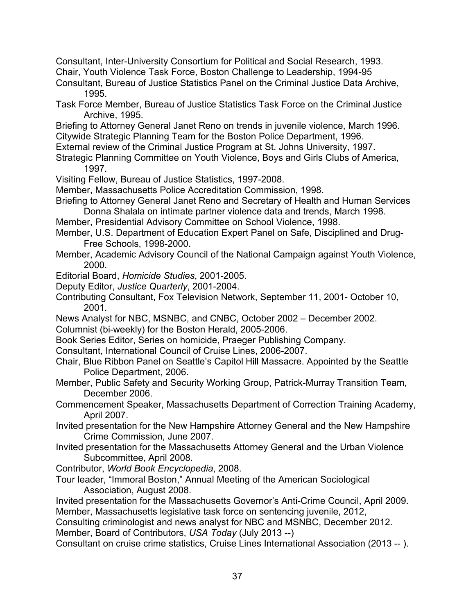Consultant, Inter-University Consortium for Political and Social Research, 1993. Chair, Youth Violence Task Force, Boston Challenge to Leadership, 1994-95

Consultant, Bureau of Justice Statistics Panel on the Criminal Justice Data Archive, 1995.

- Task Force Member, Bureau of Justice Statistics Task Force on the Criminal Justice Archive, 1995.
- Briefing to Attorney General Janet Reno on trends in juvenile violence, March 1996. Citywide Strategic Planning Team for the Boston Police Department, 1996.
- External review of the Criminal Justice Program at St. Johns University, 1997.
- Strategic Planning Committee on Youth Violence, Boys and Girls Clubs of America, 1997.
- Visiting Fellow, Bureau of Justice Statistics, 1997-2008.
- Member, Massachusetts Police Accreditation Commission, 1998.
- Briefing to Attorney General Janet Reno and Secretary of Health and Human Services Donna Shalala on intimate partner violence data and trends, March 1998.
- Member, Presidential Advisory Committee on School Violence, 1998.
- Member, U.S. Department of Education Expert Panel on Safe, Disciplined and Drug-Free Schools, 1998-2000.
- Member, Academic Advisory Council of the National Campaign against Youth Violence, 2000.
- Editorial Board, *Homicide Studies*, 2001-2005.
- Deputy Editor, *Justice Quarterly*, 2001-2004.
- Contributing Consultant, Fox Television Network, September 11, 2001- October 10, 2001.
- News Analyst for NBC, MSNBC, and CNBC, October 2002 December 2002.
- Columnist (bi-weekly) for the Boston Herald, 2005-2006.
- Book Series Editor, Series on homicide, Praeger Publishing Company.
- Consultant, International Council of Cruise Lines, 2006-2007.
- Chair, Blue Ribbon Panel on Seattle's Capitol Hill Massacre. Appointed by the Seattle Police Department, 2006.
- Member, Public Safety and Security Working Group, Patrick-Murray Transition Team, December 2006.
- Commencement Speaker, Massachusetts Department of Correction Training Academy, April 2007.
- Invited presentation for the New Hampshire Attorney General and the New Hampshire Crime Commission, June 2007.
- Invited presentation for the Massachusetts Attorney General and the Urban Violence Subcommittee, April 2008.
- Contributor, *World Book Encyclopedia*, 2008.
- Tour leader, "Immoral Boston," Annual Meeting of the American Sociological Association, August 2008.
- Invited presentation for the Massachusetts Governor's Anti-Crime Council, April 2009. Member, Massachusetts legislative task force on sentencing juvenile, 2012,

Consulting criminologist and news analyst for NBC and MSNBC, December 2012.

Member, Board of Contributors, *USA Today* (July 2013 --)

Consultant on cruise crime statistics, Cruise Lines International Association (2013 -- ).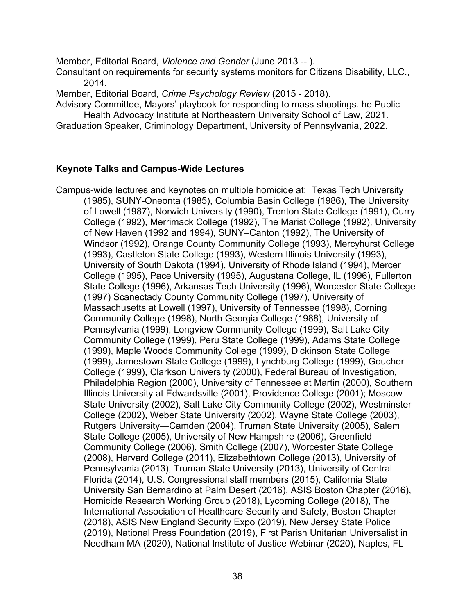Member, Editorial Board, *Violence and Gender* (June 2013 -- ).

Consultant on requirements for security systems monitors for Citizens Disability, LLC., 2014.

Member, Editorial Board, *Crime Psychology Review* (2015 - 2018).

Advisory Committee, Mayors' playbook for responding to mass shootings. he Public Health Advocacy Institute at Northeastern University School of Law, 2021.

Graduation Speaker, Criminology Department, University of Pennsylvania, 2022.

### **Keynote Talks and Campus-Wide Lectures**

Campus-wide lectures and keynotes on multiple homicide at: Texas Tech University (1985), SUNY-Oneonta (1985), Columbia Basin College (1986), The University of Lowell (1987), Norwich University (1990), Trenton State College (1991), Curry College (1992), Merrimack College (1992), The Marist College (1992), University of New Haven (1992 and 1994), SUNY–Canton (1992), The University of Windsor (1992), Orange County Community College (1993), Mercyhurst College (1993), Castleton State College (1993), Western Illinois University (1993), University of South Dakota (1994), University of Rhode Island (1994), Mercer College (1995), Pace University (1995), Augustana College, IL (1996), Fullerton State College (1996), Arkansas Tech University (1996), Worcester State College (1997) Scanectady County Community College (1997), University of Massachusetts at Lowell (1997), University of Tennessee (1998), Corning Community College (1998), North Georgia College (1988), University of Pennsylvania (1999), Longview Community College (1999), Salt Lake City Community College (1999), Peru State College (1999), Adams State College (1999), Maple Woods Community College (1999), Dickinson State College (1999), Jamestown State College (1999), Lynchburg College (1999), Goucher College (1999), Clarkson University (2000), Federal Bureau of Investigation, Philadelphia Region (2000), University of Tennessee at Martin (2000), Southern Illinois University at Edwardsville (2001), Providence College (2001); Moscow State University (2002), Salt Lake City Community College (2002), Westminster College (2002), Weber State University (2002), Wayne State College (2003), Rutgers University—Camden (2004), Truman State University (2005), Salem State College (2005), University of New Hampshire (2006), Greenfield Community College (2006), Smith College (2007), Worcester State College (2008), Harvard College (2011), Elizabethtown College (2013), University of Pennsylvania (2013), Truman State University (2013), University of Central Florida (2014), U.S. Congressional staff members (2015), California State University San Bernardino at Palm Desert (2016), ASIS Boston Chapter (2016), Homicide Research Working Group (2018), Lycoming College (2018), The International Association of Healthcare Security and Safety, Boston Chapter (2018), ASIS New England Security Expo (2019), New Jersey State Police (2019), National Press Foundation (2019), First Parish Unitarian Universalist in Needham MA (2020), National Institute of Justice Webinar (2020), Naples, FL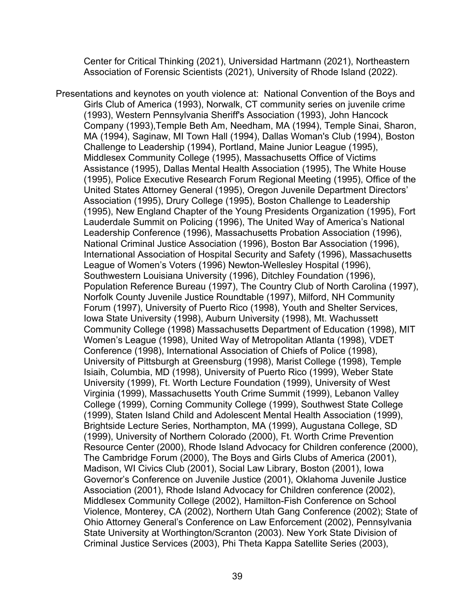Center for Critical Thinking (2021), Universidad Hartmann (2021), Northeastern Association of Forensic Scientists (2021), University of Rhode Island (2022).

Presentations and keynotes on youth violence at: National Convention of the Boys and Girls Club of America (1993), Norwalk, CT community series on juvenile crime (1993), Western Pennsylvania Sheriff's Association (1993), John Hancock Company (1993),Temple Beth Am, Needham, MA (1994), Temple Sinai, Sharon, MA (1994), Saginaw, MI Town Hall (1994), Dallas Woman's Club (1994), Boston Challenge to Leadership (1994), Portland, Maine Junior League (1995), Middlesex Community College (1995), Massachusetts Office of Victims Assistance (1995), Dallas Mental Health Association (1995), The White House (1995), Police Executive Research Forum Regional Meeting (1995), Office of the United States Attorney General (1995), Oregon Juvenile Department Directors' Association (1995), Drury College (1995), Boston Challenge to Leadership (1995), New England Chapter of the Young Presidents Organization (1995), Fort Lauderdale Summit on Policing (1996), The United Way of America's National Leadership Conference (1996), Massachusetts Probation Association (1996), National Criminal Justice Association (1996), Boston Bar Association (1996), International Association of Hospital Security and Safety (1996), Massachusetts League of Women's Voters (1996) Newton-Wellesley Hospital (1996), Southwestern Louisiana University (1996), Ditchley Foundation (1996), Population Reference Bureau (1997), The Country Club of North Carolina (1997), Norfolk County Juvenile Justice Roundtable (1997), Milford, NH Community Forum (1997), University of Puerto Rico (1998), Youth and Shelter Services, Iowa State University (1998), Auburn University (1998), Mt. Wachussett Community College (1998) Massachusetts Department of Education (1998), MIT Women's League (1998), United Way of Metropolitan Atlanta (1998), VDET Conference (1998), International Association of Chiefs of Police (1998), University of Pittsburgh at Greensburg (1998), Marist College (1998), Temple Isiaih, Columbia, MD (1998), University of Puerto Rico (1999), Weber State University (1999), Ft. Worth Lecture Foundation (1999), University of West Virginia (1999), Massachusetts Youth Crime Summit (1999), Lebanon Valley College (1999), Corning Community College (1999), Southwest State College (1999), Staten Island Child and Adolescent Mental Health Association (1999), Brightside Lecture Series, Northampton, MA (1999), Augustana College, SD (1999), University of Northern Colorado (2000), Ft. Worth Crime Prevention Resource Center (2000), Rhode Island Advocacy for Children conference (2000), The Cambridge Forum (2000), The Boys and Girls Clubs of America (2001), Madison, WI Civics Club (2001), Social Law Library, Boston (2001), Iowa Governor's Conference on Juvenile Justice (2001), Oklahoma Juvenile Justice Association (2001), Rhode Island Advocacy for Children conference (2002), Middlesex Community College (2002), Hamilton-Fish Conference on School Violence, Monterey, CA (2002), Northern Utah Gang Conference (2002); State of Ohio Attorney General's Conference on Law Enforcement (2002), Pennsylvania State University at Worthington/Scranton (2003). New York State Division of Criminal Justice Services (2003), Phi Theta Kappa Satellite Series (2003),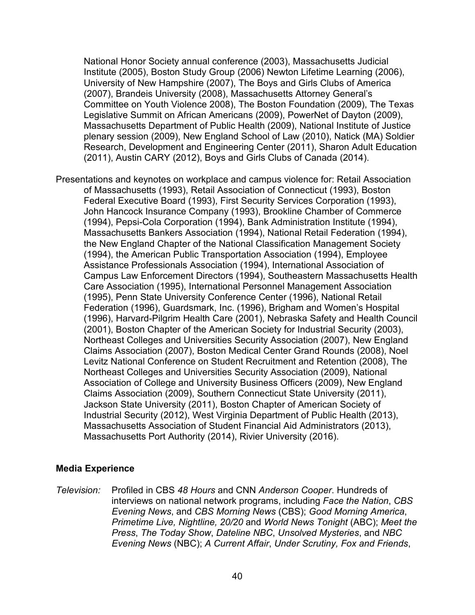National Honor Society annual conference (2003), Massachusetts Judicial Institute (2005), Boston Study Group (2006) Newton Lifetime Learning (2006), University of New Hampshire (2007), The Boys and Girls Clubs of America (2007), Brandeis University (2008), Massachusetts Attorney General's Committee on Youth Violence 2008), The Boston Foundation (2009), The Texas Legislative Summit on African Americans (2009), PowerNet of Dayton (2009), Massachusetts Department of Public Health (2009), National Institute of Justice plenary session (2009), New England School of Law (2010), Natick (MA) Soldier Research, Development and Engineering Center (2011), Sharon Adult Education (2011), Austin CARY (2012), Boys and Girls Clubs of Canada (2014).

Presentations and keynotes on workplace and campus violence for: Retail Association of Massachusetts (1993), Retail Association of Connecticut (1993), Boston Federal Executive Board (1993), First Security Services Corporation (1993), John Hancock Insurance Company (1993), Brookline Chamber of Commerce (1994), Pepsi-Cola Corporation (1994), Bank Administration Institute (1994), Massachusetts Bankers Association (1994), National Retail Federation (1994), the New England Chapter of the National Classification Management Society (1994), the American Public Transportation Association (1994), Employee Assistance Professionals Association (1994), International Association of Campus Law Enforcement Directors (1994), Southeastern Massachusetts Health Care Association (1995), International Personnel Management Association (1995), Penn State University Conference Center (1996), National Retail Federation (1996), Guardsmark, Inc. (1996), Brigham and Women's Hospital (1996), Harvard-Pilgrim Health Care (2001), Nebraska Safety and Health Council (2001), Boston Chapter of the American Society for Industrial Security (2003), Northeast Colleges and Universities Security Association (2007), New England Claims Association (2007), Boston Medical Center Grand Rounds (2008), Noel Levitz National Conference on Student Recruitment and Retention (2008), The Northeast Colleges and Universities Security Association (2009), National Association of College and University Business Officers (2009), New England Claims Association (2009), Southern Connecticut State University (2011), Jackson State University (2011), Boston Chapter of American Society of Industrial Security (2012), West Virginia Department of Public Health (2013), Massachusetts Association of Student Financial Aid Administrators (2013), Massachusetts Port Authority (2014), Rivier University (2016).

#### **Media Experience**

*Television:* Profiled in CBS *48 Hours* and CNN *Anderson Cooper*. Hundreds of interviews on national network programs, including *Face the Nation*, *CBS Evening News*, and *CBS Morning News* (CBS); *Good Morning America*, *Primetime Live, Nightline, 20/20* and *World News Tonight* (ABC); *Meet the Press*, *The Today Show*, *Dateline NBC*, *Unsolved Mysteries*, and *NBC Evening News* (NBC); *A Current Affair*, *Under Scrutiny, Fox and Friends*,